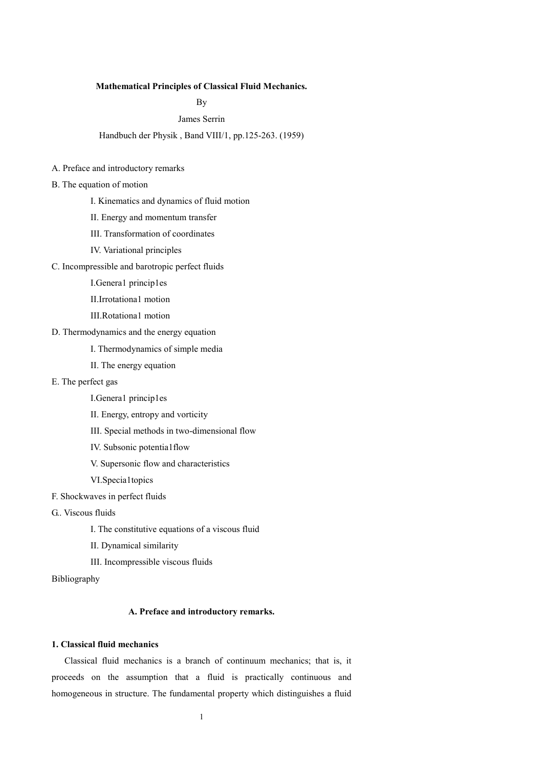## **Mathematical Principles of Classical Fluid Mechanics.**

By

James Serrin

Handbuch der Physik , Band VIII/1, pp.125-263. (1959)

## A. Preface and introductory remarks

## B. The equation of motion

I. Kinematics and dynamics of fluid motion

- II. Energy and momentum transfer
- III. Transformation of coordinates
- IV. Variational principles
- C. Incompressible and barotropic perfect fluids
	- I.Genera1 princip1es
	- II.Irrotationa1 motion
	- III.Rotationa1 motion
- D. Thermodynamics and the energy equation
	- I. Thermodynamics of simple media
	- II. The energy equation
- E. The perfect gas
	- I.Genera1 princip1es
	- II. Energy, entropy and vorticity
	- III. Special methods in two-dimensional flow
	- IV. Subsonic potentia1flow
	- V. Supersonic flow and characteristics
	- VI.Specia1topics
- F. Shockwaves in perfect fluids
- G. Viscous fluids
	- I. The constitutive equations of a viscous fluid
	- II. Dynamical similarity
	- III. Incompressible viscous fluids
- Bibliography

## **A. Preface and introductory remarks.**

## **1. Classical fluid mechanics**

Classical fluid mechanics is a branch of continuum mechanics; that is, it proceeds on the assumption that a fluid is practically continuous and homogeneous in structure. The fundamental property which distinguishes a fluid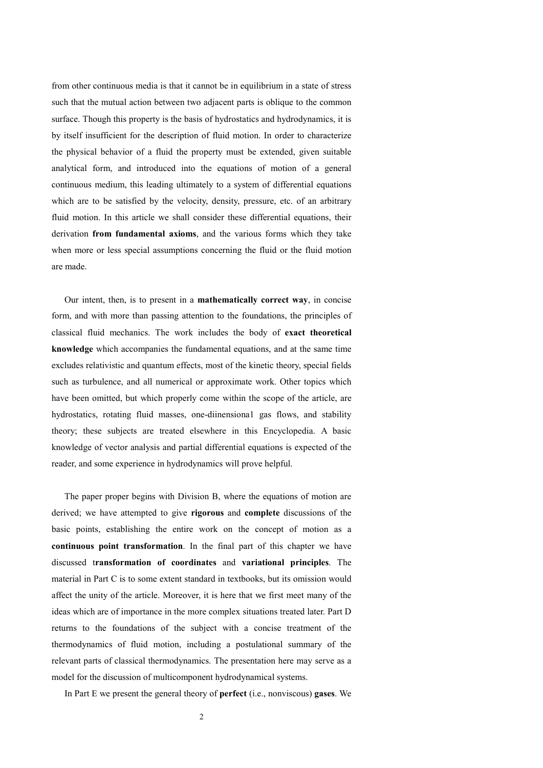from other continuous media is that it cannot be in equilibrium in a state of stress such that the mutual action between two adjacent parts is oblique to the common surface. Though this property is the basis of hydrostatics and hydrodynamics, it is by itself insufficient for the description of fluid motion. In order to characterize the physical behavior of a fluid the property must be extended, given suitable analytical form, and introduced into the equations of motion of a general continuous medium, this leading ultimately to a system of differential equations which are to be satisfied by the velocity, density, pressure, etc. of an arbitrary fluid motion. In this article we shall consider these differential equations, their derivation **from fundamental axioms**, and the various forms which they take when more or less special assumptions concerning the fluid or the fluid motion are made.

Our intent, then, is to present in a **mathematically correct way**, in concise form, and with more than passing attention to the foundations, the principles of classical fluid mechanics. The work includes the body of **exact theoretical knowledge** which accompanies the fundamental equations, and at the same time excludes relativistic and quantum effects, most of the kinetic theory, special fields such as turbulence, and all numerical or approximate work. Other topics which have been omitted, but which properly come within the scope of the article, are hydrostatics, rotating fluid masses, one-diinensiona1 gas flows, and stability theory; these subjects are treated elsewhere in this Encyclopedia. A basic knowledge of vector analysis and partial differential equations is expected of the reader, and some experience in hydrodynamics will prove helpful.

The paper proper begins with Division B, where the equations of motion are derived; we have attempted to give **rigorous** and **complete** discussions of the basic points, establishing the entire work on the concept of motion as a **continuous point transformation**. In the final part of this chapter we have discussed t**ransformation of coordinates** and **variational principles**. The material in Part C is to some extent standard in textbooks, but its omission would affect the unity of the article. Moreover, it is here that we first meet many of the ideas which are of importance in the more complex situations treated later. Part D returns to the foundations of the subject with a concise treatment of the thermodynamics of fluid motion, including a postulational summary of the relevant parts of classical thermodynamics. The presentation here may serve as a model for the discussion of multicomponent hydrodynamical systems.

In Part E we present the general theory of **perfect** (i.e., nonviscous) **gases**. We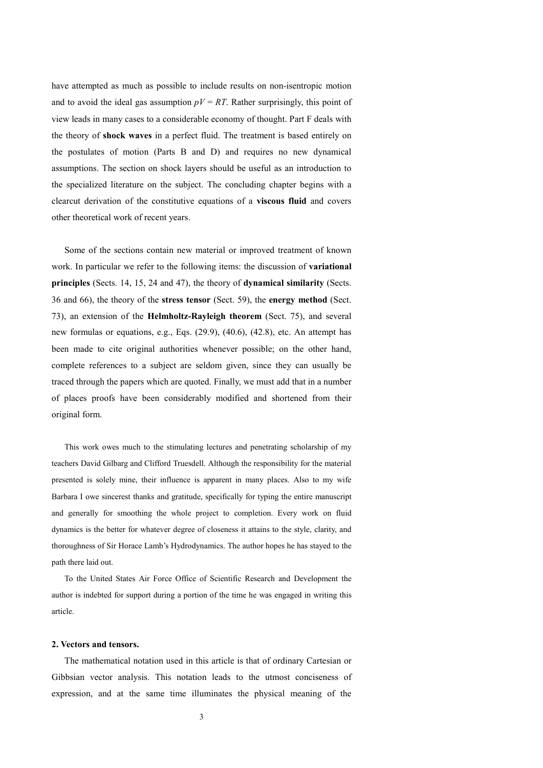have attempted as much as possible to include results on non-isentropic motion and to avoid the ideal gas assumption  $pV = RT$ . Rather surprisingly, this point of view leads in many cases to a considerable economy of thought. Part F deals with the theory of **shock waves** in a perfect fluid. The treatment is based entirely on the postulates of motion (Parts B and D) and requires no new dynamical assumptions. The section on shock layers should be useful as an introduction to the specialized literature on the subject. The concluding chapter begins with a clearcut derivation of the constitutive equations of a **viscous fluid** and covers other theoretical work of recent years.

Some of the sections contain new material or improved treatment of known work. In particular we refer to the following items: the discussion of **variational principles** (Sects. 14, 15, 24 and 47), the theory of **dynamical similarity** (Sects. 36 and 66), the theory of the **stress tensor** (Sect. 59), the **energy method** (Sect. 73), an extension of the **Helmholtz-Rayleigh theorem** (Sect. 75), and several new formulas or equations, e.g., Eqs. (29.9), (40.6), (42.8), etc. An attempt has been made to cite original authorities whenever possible; on the other hand, complete references to a subject are seldom given, since they can usually be traced through the papers which are quoted. Finally, we must add that in a number of places proofs have been considerably modified and shortened from their original form.

This work owes much to the stimulating lectures and penetrating scholarship of my teachers David Gilbarg and Clifford Truesdell. Although the responsibility for the material presented is solely mine, their influence is apparent in many places. Also to my wife Barbara I owe sincerest thanks and gratitude, specifically for typing the entire manuscript and generally for smoothing the whole project to completion. Every work on fluid dynamics is the better for whatever degree of closeness it attains to the style, clarity, and thoroughness of Sir Horace Lamb's Hydrodynamics. The author hopes he has stayed to the path there laid out.

To the United States Air Force Office of Scientific Research and Development the author is indebted for support during a portion of the time he was engaged in writing this article.

#### **2. Vectors and tensors.**

The mathematical notation used in this article is that of ordinary Cartesian or Gibbsian vector analysis. This notation leads to the utmost conciseness of expression, and at the same time illuminates the physical meaning of the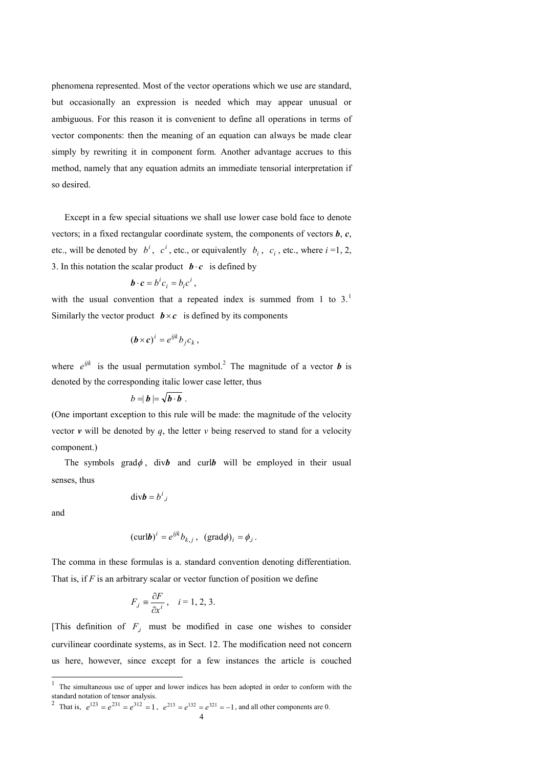phenomena represented. Most of the vector operations which we use are standard, but occasionally an expression is needed which may appear unusual or ambiguous. For this reason it is convenient to define all operations in terms of vector components: then the meaning of an equation can always be made clear simply by rewriting it in component form. Another advantage accrues to this method, namely that any equation admits an immediate tensorial interpretation if so desired.

Except in a few special situations we shall use lower case bold face to denote vectors; in a fixed rectangular coordinate system, the components of vectors *b*, *c*, etc., will be denoted by  $b^i$ ,  $c^i$ , etc., or equivalently  $b_i$ ,  $c_i$ , etc., where  $i=1, 2$ , 3. In this notation the scalar product  $\mathbf{b} \cdot \mathbf{c}$  is defined by

$$
\boldsymbol{b}\cdot\boldsymbol{c}=b^ic_i=b_ic^i,
$$

with the usual convention that a repeated index is summed from 1 to  $3<sup>1</sup>$ Similarly the vector product  $\mathbf{b} \times \mathbf{c}$  is defined by its components

$$
(\boldsymbol{b}\times\boldsymbol{c})^i=e^{ijk}b_jc_k,
$$

where  $e^{ijk}$  is the usual permutation symbol.<sup>2</sup> The magnitude of a vector *b* is denoted by the corresponding italic lower case letter, thus

$$
b = b \models \sqrt{b \cdot b} \; .
$$

(One important exception to this rule will be made: the magnitude of the velocity vector  $v$  will be denoted by  $q$ , the letter  $v$  being reserved to stand for a velocity component.)

The symbols grad $\phi$ , div**b** and curl**b** will be employed in their usual senses, thus

$$
\mathrm{div}\boldsymbol{b} = b^i{}_{,i}
$$

and

$$
(\text{curl} \boldsymbol{b})^i = e^{ijk} b_{k,j}, (\text{grad} \phi)_i = \phi_{i}.
$$

The comma in these formulas is a. standard convention denoting differentiation. That is, if *F* is an arbitrary scalar or vector function of position we define

$$
F_{,i} \equiv \frac{\partial F}{\partial x^i}, \quad i = 1, 2, 3.
$$

[This definition of  $F_i$  must be modified in case one wishes to consider curvilinear coordinate systems, as in Sect. 12. The modification need not concern us here, however, since except for a few instances the article is couched

 $e^{i23} = e^{231} = e^{312} = 1$ ,  $e^{213} = e^{132} = e^{321} = -1$ , and all other components are 0.

 $\frac{1}{1}$ The simultaneous use of upper and lower indices has been adopted in order to conform with the standard notation of tensor analysis.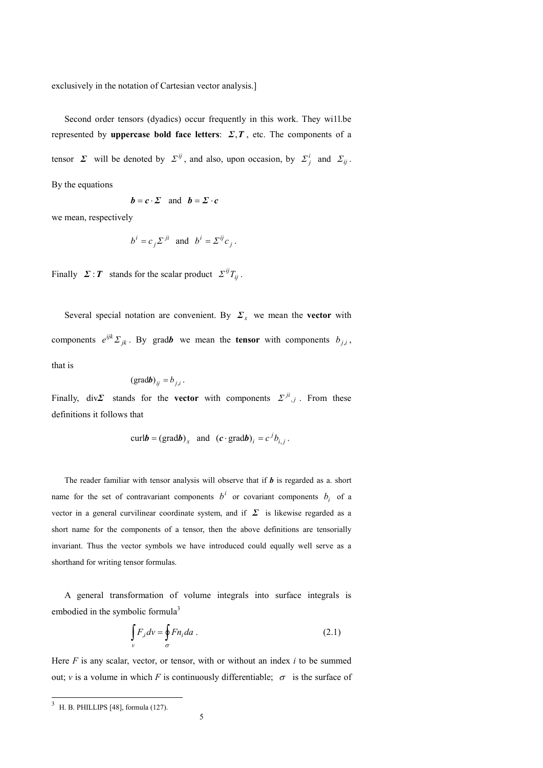exclusively in the notation of Cartesian vector analysis.]

Second order tensors (dyadics) occur frequently in this work. They wi1l.be represented by **uppercase bold face letters**:  $\Sigma$ ,  $T$ , etc. The components of a tensor *Σ* will be denoted by  $\mathcal{Z}^{ij}$ , and also, upon occasion, by  $\mathcal{Z}^{i}_{j}$  and  $\mathcal{Z}_{ij}$ . By the equations

 $b = c \cdot \Sigma$  and  $b = \Sigma \cdot c$ 

we mean, respectively

$$
b^i = c_j \Sigma^{ji}
$$
 and  $b^i = \Sigma^{ij} c_j$ .

Finally  $\Sigma$  : **T** stands for the scalar product  $\Sigma^{ij}T_{ij}$ .

Several special notation are convenient. By  $\Sigma_x$  we mean the **vector** with components  $e^{ijk} \Sigma_{jk}$ . By grad*b* we mean the **tensor** with components  $b_{j,i}$ , that is

$$
(\text{grad}\boldsymbol{b})_{ij} = b_{j,i}.
$$

Finally, div $\Sigma$  stands for the **vector** with components  $\Sigma^{ji}$ , . From these definitions it follows that

$$
\operatorname{curl}\boldsymbol{b} = (\operatorname{grad}\boldsymbol{b})_x \quad \text{and} \quad (\boldsymbol{c} \cdot \operatorname{grad}\boldsymbol{b})_i = c^j b_{i,j} \, .
$$

The reader familiar with tensor analysis will observe that if *b* is regarded as a. short name for the set of contravariant components  $b^i$  or covariant components  $b_i$  of a vector in a general curvilinear coordinate system, and if *Σ* is likewise regarded as a short name for the components of a tensor, then the above definitions are tensorially invariant. Thus the vector symbols we have introduced could equally well serve as a shorthand for writing tensor formulas.

A general transformation of volume integrals into surface integrals is embodied in the symbolic formula<sup>3</sup>

$$
\int_{V} F_{,i} dv = \oint_{\sigma} F n_{i} da .
$$
\n(2.1)

Here *F* is any scalar, vector, or tensor, with or without an index *i* to be summed out; *v* is a volume in which *F* is continuously differentiable;  $\sigma$  is the surface of

 3 H. B. PHILLIPS [48], formula (127).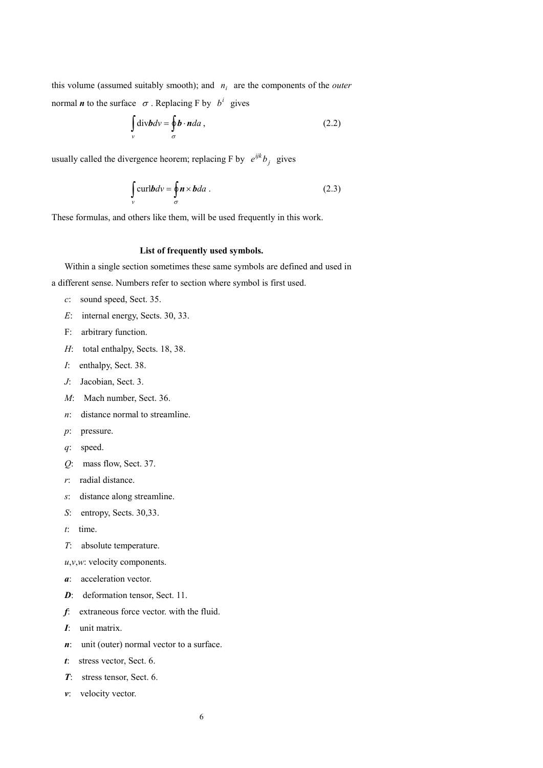this volume (assumed suitably smooth); and  $n_i$  are the components of the *outer* normal *n* to the surface  $\sigma$ . Replacing F by  $b^i$  gives

$$
\int_{v} \text{div} b dv = \oint_{\sigma} b \cdot n da , \qquad (2.2)
$$

usually called the divergence heorem; replacing F by  $e^{ijk}b_j$  gives

$$
\int_{V} \text{curl} \boldsymbol{b} dV = \oint_{\sigma} \boldsymbol{n} \times \boldsymbol{b} da
$$
 (2.3)

These formulas, and others like them, will be used frequently in this work.

## **List of frequently used symbols.**

Within a single section sometimes these same symbols are defined and used in a different sense. Numbers refer to section where symbol is first used.

- *c*: sound speed, Sect. 35.
- *E*: internal energy, Sects. 30, 33.
- F: arbitrary function.
- *H*: total enthalpy, Sects. 18, 38.
- *I*: enthalpy, Sect. 38.
- *J*: Jacobian, Sect. 3.
- *M*: Mach number, Sect. 36.
- *n*: distance normal to streamline.
- *p*: pressure.
- *q*: speed.
- *Q*: mass flow, Sect. 37.
- *r*: radial distance.
- *s*: distance along streamline.
- *S*: entropy, Sects. 30,33.
- *t*: time.
- *T*: absolute temperature.

*u*,*v*,*w*: velocity components.

- *a*: acceleration vector.
- *D*: deformation tensor, Sect. 11.
- *f*: extraneous force vector. with the fluid.
- *I*: unit matrix.
- *n*: unit (outer) normal vector to a surface.
- *t*: stress vector, Sect. 6.
- *T*: stress tensor, Sect. 6.
- *v*: velocity vector.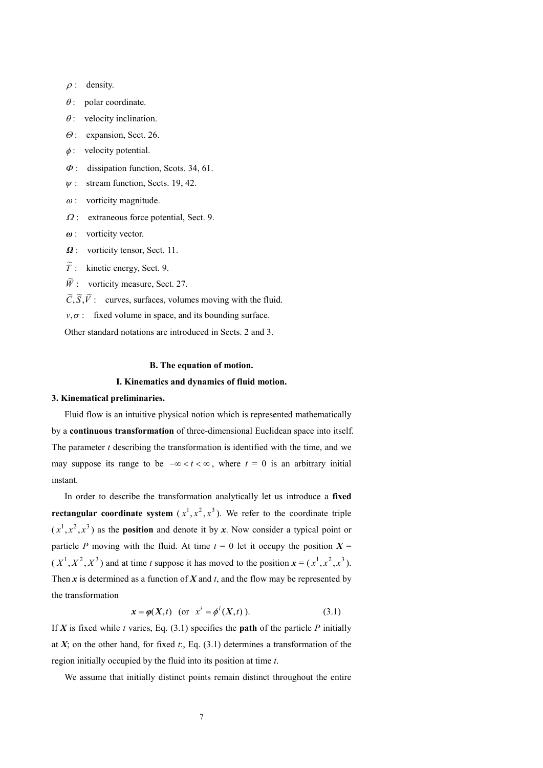- $\rho$  : density.
- $\theta$ : polar coordinate.
- $\theta$ : velocity inclination.
- $\Theta$ : expansion, Sect. 26.
- $\phi$ : velocity potential.
- $\Phi$ : dissipation function, Scots. 34, 61.
- $\psi$ : stream function, Sects. 19, 42.
- $\omega$ : vorticity magnitude.
- $\Omega$ : extraneous force potential, Sect. 9.
- *ω* : vorticity vector.
- *Ω* : vorticity tensor, Sect. 11.
- $\tilde{T}$  : kinetic energy, Sect. 9.
- $\widetilde{W}$  : vorticity measure, Sect. 27.
- $\widetilde{C}, \widetilde{S}, \widetilde{V}$ : curves, surfaces, volumes moving with the fluid.

 $v, \sigma$ : fixed volume in space, and its bounding surface.

Other standard notations are introduced in Sects. 2 and 3.

## **B. The equation of motion.**

## **I. Kinematics and dynamics of fluid motion.**

## **3. Kinematical preliminaries.**

Fluid flow is an intuitive physical notion which is represented mathematically by a **continuous transformation** of three-dimensional Euclidean space into itself. The parameter  $t$  describing the transformation is identified with the time, and we may suppose its range to be  $-\infty < t < \infty$ , where  $t = 0$  is an arbitrary initial instant.

In order to describe the transformation analytically let us introduce a **fixed rectangular coordinate system**  $(x^1, x^2, x^3)$ . We refer to the coordinate triple  $(x<sup>1</sup>, x<sup>2</sup>, x<sup>3</sup>)$  as the **position** and denote it by *x*. Now consider a typical point or particle *P* moving with the fluid. At time  $t = 0$  let it occupy the position  $X =$  $(X^1, X^2, X^3)$  and at time *t* suppose it has moved to the position  $\mathbf{x} = (x^1, x^2, x^3)$ . Then  $x$  is determined as a function of  $X$  and  $t$ , and the flow may be represented by the transformation

$$
\mathbf{x} = \boldsymbol{\varphi}(\mathbf{X}, t) \quad \text{(or} \quad \mathbf{x}^i = \boldsymbol{\phi}^i(\mathbf{X}, t) \text{ ).} \tag{3.1}
$$

If  $X$  is fixed while  $t$  varies, Eq. (3.1) specifies the **path** of the particle  $P$  initially at  $X$ ; on the other hand, for fixed  $t$ :, Eq.  $(3.1)$  determines a transformation of the region initially occupied by the fluid into its position at time *t*.

We assume that initially distinct points remain distinct throughout the entire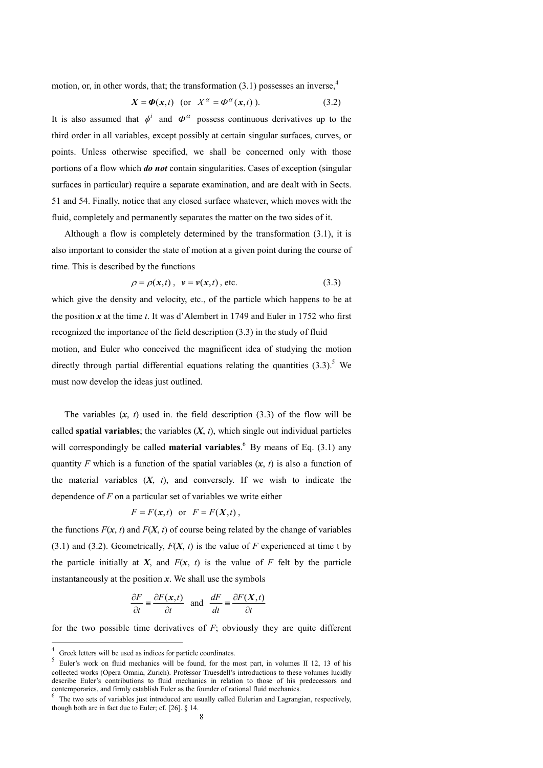motion, or, in other words, that; the transformation  $(3.1)$  possesses an inverse,<sup>4</sup>

$$
X = \Phi(x, t) \quad \text{(or} \quad X^{\alpha} = \Phi^{\alpha}(x, t)). \tag{3.2}
$$

It is also assumed that  $\phi^i$  and  $\Phi^\alpha$  possess continuous derivatives up to the third order in all variables, except possibly at certain singular surfaces, curves, or points. Unless otherwise specified, we shall be concerned only with those portions of a flow which *do not* contain singularities. Cases of exception (singular surfaces in particular) require a separate examination, and are dealt with in Sects. 51 and 54. Finally, notice that any closed surface whatever, which moves with the fluid, completely and permanently separates the matter on the two sides of it.

Although a flow is completely determined by the transformation (3.1), it is also important to consider the state of motion at a given point during the course of time. This is described by the functions

$$
\rho = \rho(x, t), \quad v = v(x, t), \text{ etc.}
$$
\n(3.3)

which give the density and velocity, etc., of the particle which happens to be at the position  $x$  at the time  $t$ . It was d'Alembert in 1749 and Euler in 1752 who first recognized the importance of the field description (3.3) in the study of fluid motion, and Euler who conceived the magnificent idea of studying the motion directly through partial differential equations relating the quantities  $(3.3)$ .<sup>5</sup> We must now develop the ideas just outlined.

The variables  $(x, t)$  used in. the field description  $(3.3)$  of the flow will be called **spatial variables**; the variables  $(X, t)$ , which single out individual particles will correspondingly be called **material variables**.<sup>6</sup> By means of Eq. (3.1) any quantity *F* which is a function of the spatial variables  $(x, t)$  is also a function of the material variables  $(X, t)$ , and conversely. If we wish to indicate the dependence of *F* on a particular set of variables we write either

$$
F = F(x,t) \text{ or } F = F(X,t),
$$

the functions  $F(x, t)$  and  $F(X, t)$  of course being related by the change of variables (3.1) and (3.2). Geometrically,  $F(X, t)$  is the value of  $F$  experienced at time t by the particle initially at *X*, and  $F(x, t)$  is the value of *F* felt by the particle instantaneously at the position *x*. We shall use the symbols

$$
\frac{\partial F}{\partial t} \equiv \frac{\partial F(x,t)}{\partial t} \quad \text{and} \quad \frac{dF}{dt} \equiv \frac{\partial F(X,t)}{\partial t}
$$

for the two possible time derivatives of *F*; obviously they are quite different

<sup>4</sup> Greek letters will be used as indices for particle coordinates.

<sup>&</sup>lt;sup>5</sup> Euler's work on fluid mechanics will be found, for the most part, in volumes II 12, 13 of his collected works (Opera Omnia, Zurich). Professor Truesdell's introductions to these volumes lucidly describe Euler's contributions to fluid mechanics in relation to those of his predecessors and contemporaries, and firmly establish Euler as the founder of rational fluid mechanics.

<sup>&</sup>lt;sup>6</sup> The two sets of variables just introduced are usually called Eulerian and Lagrangian, respectively, though both are in fact due to Euler; cf. [26]. § 14.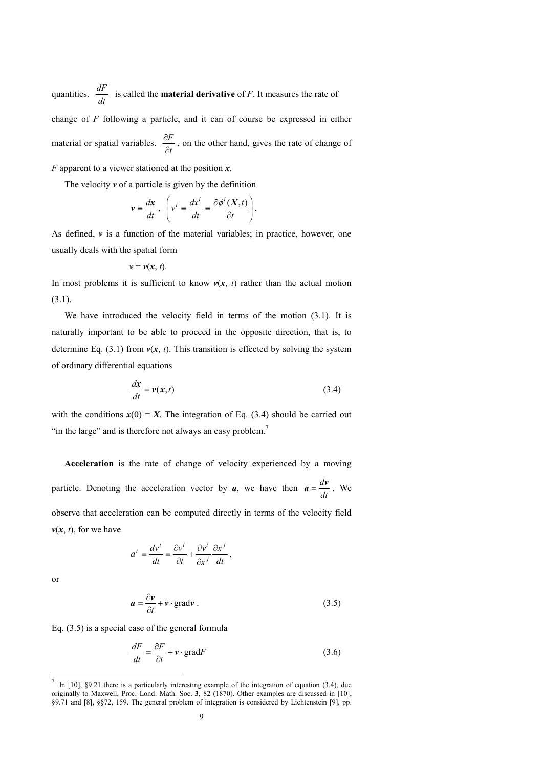quantities.  $\frac{dF}{dt}$  is called the **material derivative** of *F*. It measures the rate of change of *F* following a particle, and it can of course be expressed in either material or spatial variables.  $\frac{G}{\partial t}$ *F* ∂  $\frac{\partial F}{\partial \rho}$ , on the other hand, gives the rate of change of *F* apparent to a viewer stationed at the position *x*.

The velocity  $\nu$  of a particle is given by the definition

$$
\mathbf{v} \equiv \frac{d\mathbf{x}}{dt}, \ \left(v^i \equiv \frac{dx^i}{dt} \equiv \frac{\partial \phi^i(\mathbf{X},t)}{\partial t}\right).
$$

As defined,  $\nu$  is a function of the material variables; in practice, however, one usually deals with the spatial form

$$
v=v(x, t).
$$

In most problems it is sufficient to know  $v(x, t)$  rather than the actual motion (3.1).

We have introduced the velocity field in terms of the motion (3.1). It is naturally important to be able to proceed in the opposite direction, that is, to determine Eq. (3.1) from  $v(x, t)$ . This transition is effected by solving the system of ordinary differential equations

$$
\frac{dx}{dt} = v(x,t) \tag{3.4}
$$

with the conditions  $x(0) = X$ . The integration of Eq. (3.4) should be carried out "in the large" and is therefore not always an easy problem.<sup>7</sup>

**Acceleration** is the rate of change of velocity experienced by a moving particle. Denoting the acceleration vector by  $\boldsymbol{a}$ , we have then  $\boldsymbol{a} = \frac{d\boldsymbol{b}}{dt}$  $a = \frac{dv}{dx}$ . We observe that acceleration can be computed directly in terms of the velocity field  $v(x, t)$ , for we have

$$
a^i = \frac{dv^i}{dt} = \frac{\partial v^i}{\partial t} + \frac{\partial v^i}{\partial x^j} \frac{\partial x^j}{dt},
$$

or

$$
a = \frac{\partial v}{\partial t} + v \cdot \text{grad}v \tag{3.5}
$$

Eq. (3.5) is a special case of the general formula

$$
\frac{dF}{dt} = \frac{\partial F}{\partial t} + \mathbf{v} \cdot \text{grad} F \tag{3.6}
$$

<sup>-&</sup>lt;br>7 In [10], §9.21 there is a particularly interesting example of the integration of equation (3.4), due originally to Maxwell, Proc. Lond. Math. Soc. **3**, 82 (1870). Other examples are discussed in [10], §9.71 and [8], §§72, 159. The general problem of integration is considered by Lichtenstein [9], pp.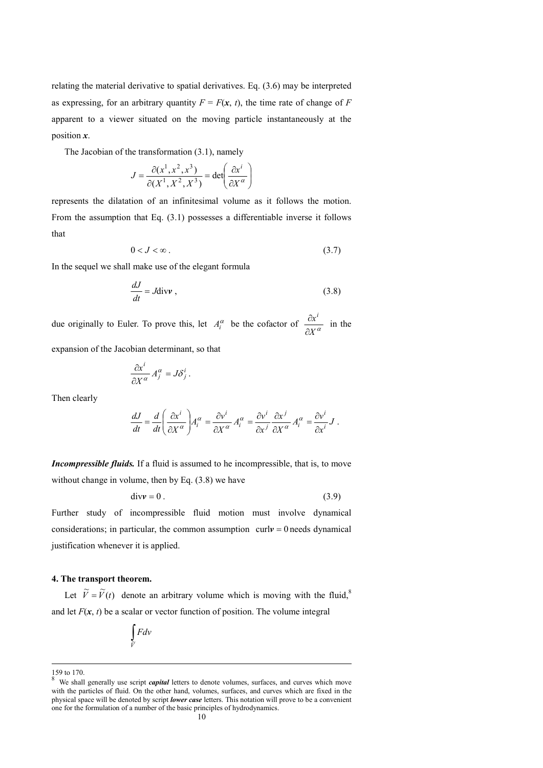relating the material derivative to spatial derivatives. Eq. (3.6) may be interpreted as expressing, for an arbitrary quantity  $F = F(x, t)$ , the time rate of change of *F* apparent to a viewer situated on the moving particle instantaneously at the position *x*.

The Jacobian of the transformation (3.1), namely

$$
J = \frac{\partial(x^1, x^2, x^3)}{\partial(x^1, x^2, x^3)} = \det\left(\frac{\partial x^i}{\partial x^{\alpha}}\right)
$$

represents the dilatation of an infinitesimal volume as it follows the motion. From the assumption that Eq. (3.1) possesses a differentiable inverse it follows that

$$
0 < J < \infty
$$
\n<sup>(3.7)</sup>

In the sequel we shall make use of the elegant formula

$$
\frac{dJ}{dt} = J \text{div}\mathbf{v} \tag{3.8}
$$

due originally to Euler. To prove this, let  $A_i^{\alpha}$  be the cofactor of  $X^{\alpha}$ *x i* ∂  $\frac{\partial x^i}{\partial x^i}$  in the

expansion of the Jacobian determinant, so that

$$
\frac{\partial x^i}{\partial X^\alpha} A_j^\alpha = J \delta_j^i \, .
$$

Then clearly

$$
\frac{dJ}{dt} = \frac{d}{dt} \left( \frac{\partial x^i}{\partial X^{\alpha}} \right) A_i^{\alpha} = \frac{\partial v^i}{\partial X^{\alpha}} A_i^{\alpha} = \frac{\partial v^i}{\partial x^j} \frac{\partial x^j}{\partial X^{\alpha}} A_i^{\alpha} = \frac{\partial v^i}{\partial x^i} J.
$$

*Incompressible fluids.* If a fluid is assumed to he incompressible, that is, to move without change in volume, then by Eq. (3.8) we have

$$
\text{div}\mathbf{v} = 0 \tag{3.9}
$$

Further study of incompressible fluid motion must involve dynamical considerations; in particular, the common assumption  $\text{curl}\mathbf{v} = 0$  needs dynamical justification whenever it is applied.

## **4. The transport theorem.**

Let  $\widetilde{V} = \widetilde{V}(t)$  denote an arbitrary volume which is moving with the fluid,<sup>8</sup> and let  $F(x, t)$  be a scalar or vector function of position. The volume integral

 ∫ *V Fdv*  $\frac{1}{17}$ 

<sup>159</sup> to 170.

We shall generally use script *capital* letters to denote volumes, surfaces, and curves which move with the particles of fluid. On the other hand, volumes, surfaces, and curves which are fixed in the physical space will be denoted by script *lower case* letters. This notation will prove to be a convenient one for the formulation of a number of the basic principles of hydrodynamics.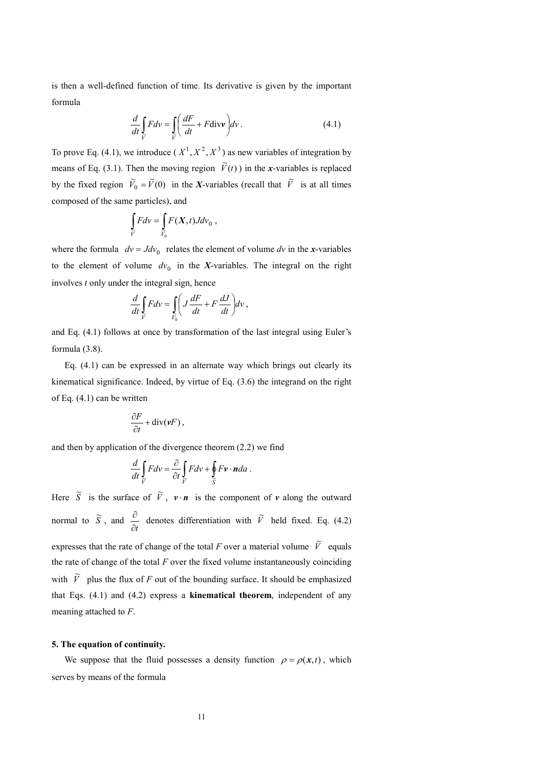is then a well-defined function of time. Its derivative is given by the important formula

$$
\frac{d}{dt}\int_{\widetilde{V}} Fdv = \int_{\widetilde{V}} \left(\frac{dF}{dt} + F \text{div}\mathbf{v}\right) dv.
$$
\n(4.1)

To prove Eq. (4.1), we introduce ( $X^1, X^2, X^3$ ) as new variables of integration by means of Eq. (3.1). Then the moving region  $\tilde{V}(t)$  in the *x*-variables is replaced by the fixed region  $\tilde{V}_0 = \tilde{V}(0)$  in the *X*-variables (recall that  $\tilde{V}$  is at all times composed of the same particles), and

$$
\int\limits_{\widetilde{V}} F d\nu = \int\limits_{\widetilde{V}_0} F(X,t) J d\nu_0 ,
$$

where the formula  $dv = Jdv_0$  relates the element of volume *dv* in the *x*-variables to the element of volume  $dv_0$  in the *X*-variables. The integral on the right involves *t* only under the integral sign, hence

$$
\frac{d}{dt}\int\limits_{\widetilde{V}} F d\nu = \int\limits_{\widetilde{V}_0} \left( J\frac{dF}{dt} + F\frac{dJ}{dt} \right) dv \;,
$$

and Eq. (4.1) follows at once by transformation of the last integral using Euler's formula (3.8).

Eq. (4.1) can be expressed in an alternate way which brings out clearly its kinematical significance. Indeed, by virtue of Eq. (3.6) the integrand on the right of Eq. (4.1) can be written

$$
\frac{\partial F}{\partial t} + \operatorname{div}(\mathbf{v} F)\,,
$$

and then by application of the divergence theorem (2.2) we find

$$
\frac{d}{dt}\int\limits_{\widetilde{V}} Fdv = \frac{\partial}{\partial t}\int\limits_{\widetilde{V}} Fdv + \oint\limits_{\widetilde{S}} Fv \cdot \boldsymbol{n} da.
$$

Here  $\tilde{S}$  is the surface of  $\tilde{V}$ ,  $\mathbf{v} \cdot \mathbf{n}$  is the component of  $\mathbf{v}$  along the outward normal to  $\tilde{S}$ , and  $\frac{\partial}{\partial t}$  $\frac{\partial}{\partial z}$  denotes differentiation with  $\tilde{V}$  held fixed. Eq. (4.2) expresses that the rate of change of the total *F* over a material volume  $\tilde{V}$  equals

the rate of change of the total  $F$  over the fixed volume instantaneously coinciding with  $\tilde{V}$  plus the flux of *F* out of the bounding surface. It should be emphasized that Eqs. (4.1) and (4.2) express a **kinematical theorem**, independent of any meaning attached to *F*.

#### **5. The equation of continuity.**

We suppose that the fluid possesses a density function  $\rho = \rho(x,t)$ , which serves by means of the formula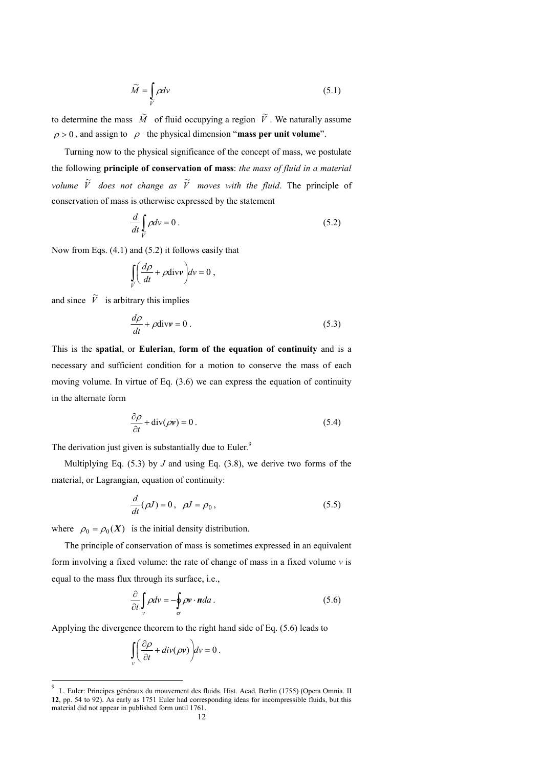$$
\widetilde{M} = \int_{\widetilde{V}} \rho dv \tag{5.1}
$$

to determine the mass  $\tilde{M}$  of fluid occupying a region  $\tilde{V}$ . We naturally assume  $\rho > 0$ , and assign to  $\rho$  the physical dimension "**mass per unit volume**".

Turning now to the physical significance of the concept of mass, we postulate the following **principle of conservation of mass**: *the mass of fluid in a material volume*  $\widetilde{V}$  does not change as  $\widetilde{V}$  moves with the fluid. The principle of conservation of mass is otherwise expressed by the statement

$$
\frac{d}{dt}\int_{\widetilde{V}} \rho dv = 0.
$$
\n(5.2)

Now from Eqs. (4.1) and (5.2) it follows easily that

$$
\int_{\widetilde{V}}\left(\frac{d\rho}{dt}+\rho \text{div}\mathbf{v}\right)dv=0,
$$

and since  $\tilde{V}$  is arbitrary this implies

$$
\frac{d\rho}{dt} + \rho \text{div}\mathbf{v} = 0 \tag{5.3}
$$

This is the **spatia**l, or **Eulerian**, **form of the equation of continuity** and is a necessary and sufficient condition for a motion to conserve the mass of each moving volume. In virtue of Eq. (3.6) we can express the equation of continuity in the alternate form

$$
\frac{\partial \rho}{\partial t} + \text{div}(\rho \mathbf{v}) = 0.
$$
 (5.4)

The derivation just given is substantially due to Euler.<sup>9</sup>

Multiplying Eq.  $(5.3)$  by *J* and using Eq.  $(3.8)$ , we derive two forms of the material, or Lagrangian, equation of continuity:

$$
\frac{d}{dt}(\rho J) = 0, \quad \rho J = \rho_0,\tag{5.5}
$$

where  $\rho_0 = \rho_0(X)$  is the initial density distribution.

The principle of conservation of mass is sometimes expressed in an equivalent form involving a fixed volume: the rate of change of mass in a fixed volume *v* is equal to the mass flux through its surface, i.e.,

$$
\frac{\partial}{\partial t} \int_{v} \rho dv = -\oint_{\sigma} \rho v \cdot n da. \tag{5.6}
$$

Applying the divergence theorem to the right hand side of Eq. (5.6) leads to

$$
\int_{v} \left( \frac{\partial \rho}{\partial t} + div(\rho \mathbf{v}) \right) dv = 0.
$$

 9 L. Euler: Principes généraux du mouvement des fluids. Hist. Acad. Berlin (1755) (Opera Omnia. II **12**, pp. 54 to 92). As early as 1751 Euler had corresponding ideas for incompressible fluids, but this material did not appear in published form until 1761.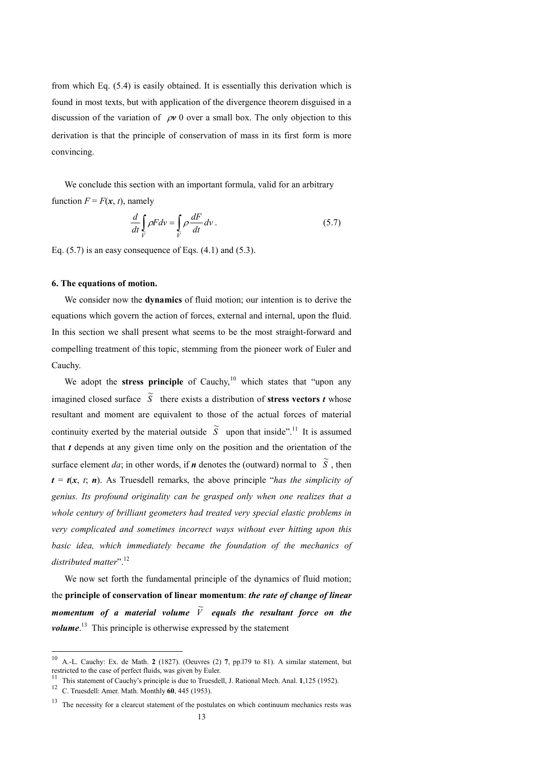from which Eq. (5.4) is easily obtained. It is essentially this derivation which is found in most texts, but with application of the divergence theorem disguised in a discussion of the variation of  $\rho v$  0 over a small box. The only objection to this derivation is that the principle of conservation of mass in its first form is more convincing.

We conclude this section with an important formula, valid for an arbitrary function  $F = F(x, t)$ , namely

$$
\frac{d}{dt}\int\limits_{\tilde{V}} \rho F d\tilde{v} = \int\limits_{\tilde{V}} \rho \frac{dF}{dt} d\tilde{v} \,. \tag{5.7}
$$

Eq.  $(5.7)$  is an easy consequence of Eqs.  $(4.1)$  and  $(5.3)$ .

## **6. The equations of motion.**

We consider now the **dynamics** of fluid motion; our intention is to derive the equations which govern the action of forces, external and internal, upon the fluid. In this section we shall present what seems to be the most straight-forward and compelling treatment of this topic, stemming from the pioneer work of Euler and Cauchy.

We adopt the **stress principle** of Cauchy,<sup>10</sup> which states that "upon any imagined closed surface  $\tilde{S}$  there exists a distribution of **stress vectors** *t* whose resultant and moment are equivalent to those of the actual forces of material continuity exerted by the material outside  $\tilde{S}$  upon that inside".<sup>11</sup> It is assumed that *t* depends at any given time only on the position and the orientation of the surface element *da*; in other words, if *n* denotes the (outward) normal to  $\tilde{S}$ , then  $t = t(x, t; n)$ . As Truesdell remarks, the above principle "*has the simplicity of genius. Its profound originality can be grasped only when one realizes that a whole century of brilliant geometers had treated very special elastic problems in very complicated and sometimes incorrect ways without ever hitting upon this basic idea, which immediately became the foundation of the mechanics of*  distributed matter".<sup>12</sup>

We now set forth the fundamental principle of the dynamics of fluid motion; the **principle of conservation of linear momentum**: *the rate of change of linear*  momentum of a material volume  $\widetilde{V}$  equals the resultant force on the *volume*.<sup>13</sup> This principle is otherwise expressed by the statement

<sup>10</sup> A.-L. Cauchy: Ex. de Math. **2** (1827). (Oeuvres (2) **7**, pp.l79 to 81). A similar statement, but restricted to the case of perfect fluids, was given by Euler.

<sup>11</sup> This statement of Cauchy's principle is due to Truesdell, J. Rational Mech. Anal. **1**,125 (1952).

<sup>12</sup> C. Truesdell: Amer. Math. Monthly **60**, 445 (1953).

<sup>&</sup>lt;sup>13</sup> The necessity for a clearcut statement of the postulates on which continuum mechanics rests was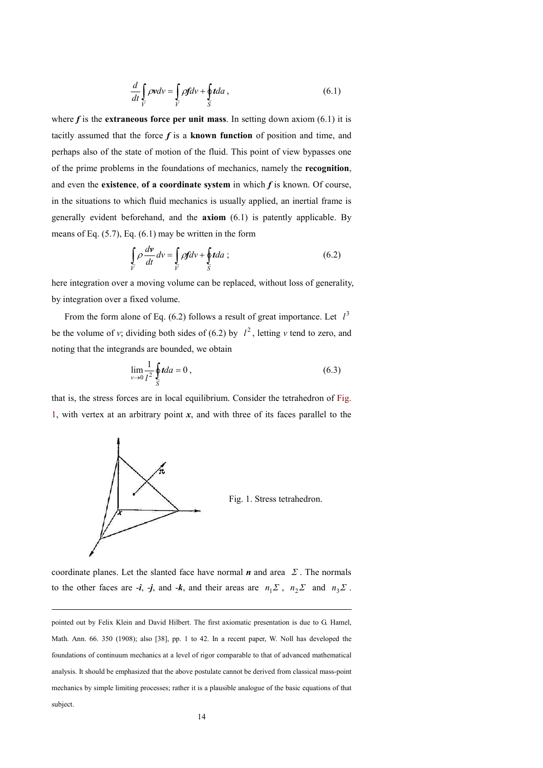$$
\frac{d}{dt}\int\limits_{\tilde{V}}\rho v dv = \int\limits_{\tilde{V}}\rho f dv + \oint\limits_{\tilde{S}} t da ,\qquad (6.1)
$$

where  $f$  is the **extraneous force per unit mass**. In setting down axiom  $(6.1)$  it is tacitly assumed that the force  $f$  is a **known function** of position and time, and perhaps also of the state of motion of the fluid. This point of view bypasses one of the prime problems in the foundations of mechanics, namely the **recognition**, and even the **existence**, **of a coordinate system** in which *f* is known. Of course, in the situations to which fluid mechanics is usually applied, an inertial frame is generally evident beforehand, and the **axiom** (6.1) is patently applicable. By means of Eq. (5.7), Eq. (6.1) may be written in the form

$$
\int_{\widetilde{V}} \rho \frac{dv}{dt} dv = \int_{\widetilde{V}} \rho f dv + \oint_{\widetilde{S}} t da ; \qquad (6.2)
$$

here integration over a moving volume can be replaced, without loss of generality, by integration over a fixed volume.

From the form alone of Eq.  $(6.2)$  follows a result of great importance. Let  $l<sup>3</sup>$ be the volume of *v*; dividing both sides of (6.2) by  $l^2$ , letting *v* tend to zero, and noting that the integrands are bounded, we obtain

$$
\lim_{\nu \to 0} \frac{1}{l^2} \oint_{\tilde{S}} t da = 0 ,
$$
\n(6.3)

that is, the stress forces are in local equilibrium. Consider the tetrahedron of Fig. 1, with vertex at an arbitrary point  $x$ , and with three of its faces parallel to the



-

Fig. 1. Stress tetrahedron.

coordinate planes. Let the slanted face have normal  $n$  and area  $\Sigma$ . The normals to the other faces are  $-i$ ,  $-j$ , and  $-k$ , and their areas are  $n_1 \Sigma$ ,  $n_2 \Sigma$  and  $n_3 \Sigma$ .

pointed out by Felix Klein and David Hilbert. The first axiomatic presentation is due to G. Hamel, Math. Ann. 66. 350 (1908); also [38], pp. 1 to 42. In a recent paper, W. Noll has developed the foundations of continuum mechanics at a level of rigor comparable to that of advanced mathematical analysis. It should be emphasized that the above postulate cannot be derived from classical mass-point mechanics by simple limiting processes; rather it is a plausible analogue of the basic equations of that subject.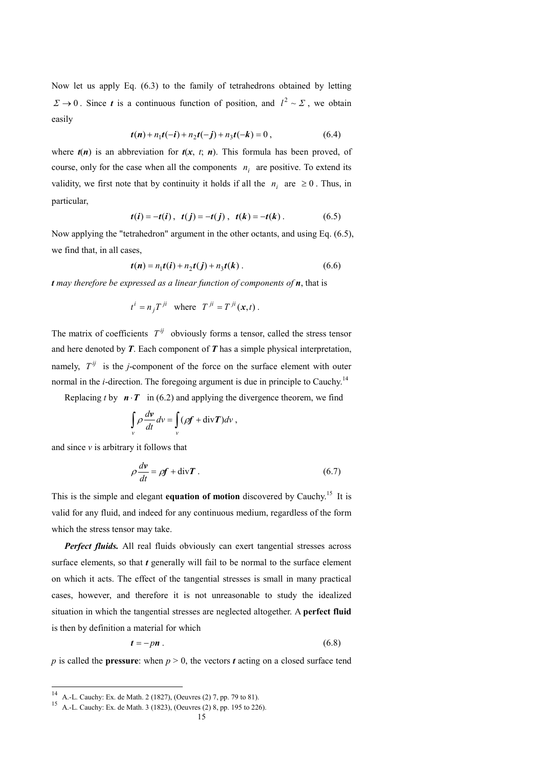Now let us apply Eq. (6.3) to the family of tetrahedrons obtained by letting  $\Sigma \rightarrow 0$ . Since *t* is a continuous function of position, and  $l^2 \sim \Sigma$ , we obtain easily

$$
t(n) + n_1 t(-i) + n_2 t(-j) + n_3 t(-k) = 0,
$$
\n(6.4)

where  $t(n)$  is an abbreviation for  $t(x, t; n)$ . This formula has been proved, of course, only for the case when all the components  $n_i$  are positive. To extend its validity, we first note that by continuity it holds if all the  $n_i$  are  $\geq 0$ . Thus, in particular,

$$
t(i) = -t(i), \quad t(j) = -t(j), \quad t(k) = -t(k).
$$
 (6.5)

Now applying the "tetrahedron" argument in the other octants, and using Eq. (6.5), we find that, in all cases,

$$
t(n) = n_1 t(i) + n_2 t(j) + n_3 t(k).
$$
 (6.6)

**t** may therefore be expressed as a linear function of components of  $n$ , that is

$$
t^i = n_j T^{ji} \text{ where } T^{ji} = T^{ji}(\mathbf{x}, t).
$$

The matrix of coefficients  $T^{ij}$  obviously forms a tensor, called the stress tensor and here denoted by *T*. Each component of *T* has a simple physical interpretation, namely,  $T^{ij}$  is the *j*-component of the force on the surface element with outer normal in the *i*-direction. The foregoing argument is due in principle to Cauchy.<sup>14</sup>

Replacing *t* by  $\mathbf{n} \cdot \mathbf{T}$  in (6.2) and applying the divergence theorem, we find

$$
\int_{v} \rho \frac{dv}{dt} dv = \int_{v} (\rho f + \text{div} T) dv,
$$

and since *v* is arbitrary it follows that

$$
\rho \frac{dv}{dt} = \rho f + \text{div} \mathbf{T} \,. \tag{6.7}
$$

This is the simple and elegant **equation of motion** discovered by Cauchy.<sup>15</sup> It is valid for any fluid, and indeed for any continuous medium, regardless of the form which the stress tensor may take.

*Perfect fluids.* All real fluids obviously can exert tangential stresses across surface elements, so that *t* generally will fail to be normal to the surface element on which it acts. The effect of the tangential stresses is small in many practical cases, however, and therefore it is not unreasonable to study the idealized situation in which the tangential stresses are neglected altogether. A **perfect fluid** is then by definition a material for which

$$
t = -pn \tag{6.8}
$$

*p* is called the **pressure**: when  $p > 0$ , the vectors *t* acting on a closed surface tend

<sup>&</sup>lt;sup>14</sup> A.-L. Cauchy: Ex. de Math. 2 (1827), (Oeuvres (2) 7, pp. 79 to 81).

<sup>15</sup> A.-L. Cauchy: Ex. de Math. 3 (1823), (Oeuvres (2) 8, pp. 195 to 226).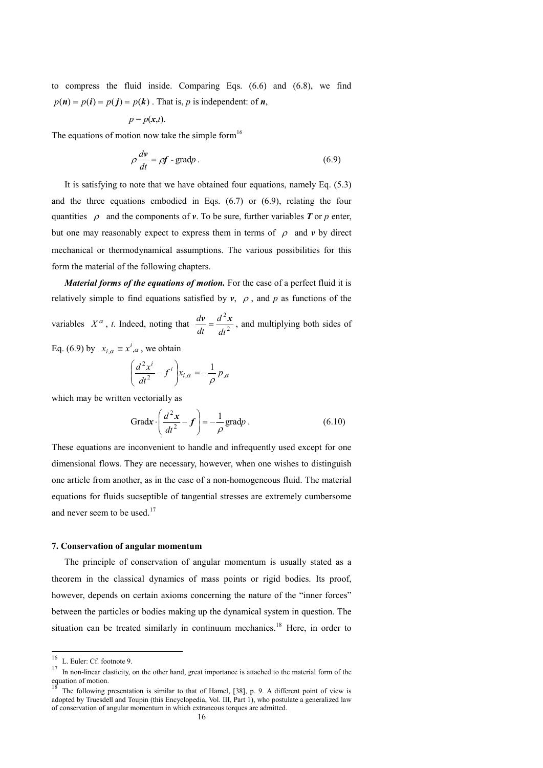to compress the fluid inside. Comparing Eqs. (6.6) and (6.8), we find  $p(n) = p(i) = p(j) = p(k)$ . That is, *p* is independent: of *n*,

$$
p=p(\mathbf{x},t).
$$

The equations of motion now take the simple form<sup>16</sup>

$$
\rho \frac{dv}{dt} = \rho f - \text{grad} p \,. \tag{6.9}
$$

It is satisfying to note that we have obtained four equations, namely Eq. (5.3) and the three equations embodied in Eqs. (6.7) or (6.9), relating the four quantities  $\rho$  and the components of  $\nu$ . To be sure, further variables **T** or p enter, but one may reasonably expect to express them in terms of  $\rho$  and  $\nu$  by direct mechanical or thermodynamical assumptions. The various possibilities for this form the material of the following chapters.

*Material forms of the equations of motion.* For the case of a perfect fluid it is relatively simple to find equations satisfied by  $v$ ,  $\rho$ , and  $p$  as functions of the variables  $X^{\alpha}$ , *t*. Indeed, noting that  $\frac{dV}{dt} = \frac{dV}{dt^2}$ 2 *dt d dt*  $\frac{dv}{dt} = \frac{d^2x}{dt^2}$ , and multiplying both sides of

Eq. (6.9) by  $x_{i,\alpha} \equiv x^i, \alpha$ , we obtain

$$
\left(\frac{d^2x^i}{dt^2} - f^i\right)x_{i,\alpha} = -\frac{1}{\rho}p_{,\alpha}
$$

which may be written vectorially as

$$
\text{Gradx} \cdot \left(\frac{d^2 x}{dt^2} - f\right) = -\frac{1}{\rho} \text{grad} p \,. \tag{6.10}
$$

These equations are inconvenient to handle and infrequently used except for one dimensional flows. They are necessary, however, when one wishes to distinguish one article from another, as in the case of a non-homogeneous fluid. The material equations for fluids sucseptible of tangential stresses are extremely cumbersome and never seem to be used. $17$ 

#### **7. Conservation of angular momentum**

The principle of conservation of angular momentum is usually stated as a theorem in the classical dynamics of mass points or rigid bodies. Its proof, however, depends on certain axioms concerning the nature of the "inner forces" between the particles or bodies making up the dynamical system in question. The situation can be treated similarly in continuum mechanics.<sup>18</sup> Here, in order to

<sup>16</sup> L. Euler: Cf. footnote 9.

<sup>&</sup>lt;sup>17</sup> In non-linear elasticity, on the other hand, great importance is attached to the material form of the

equation of motion.<br><sup>18</sup> The following presentation is similar to that of Hamel, [38], p. 9. A different point of view is adopted by Truesdell and Toupin (this Encyclopedia, Vol. III, Part 1), who postulate a generalized law of conservation of angular momentum in which extraneous torques are admitted.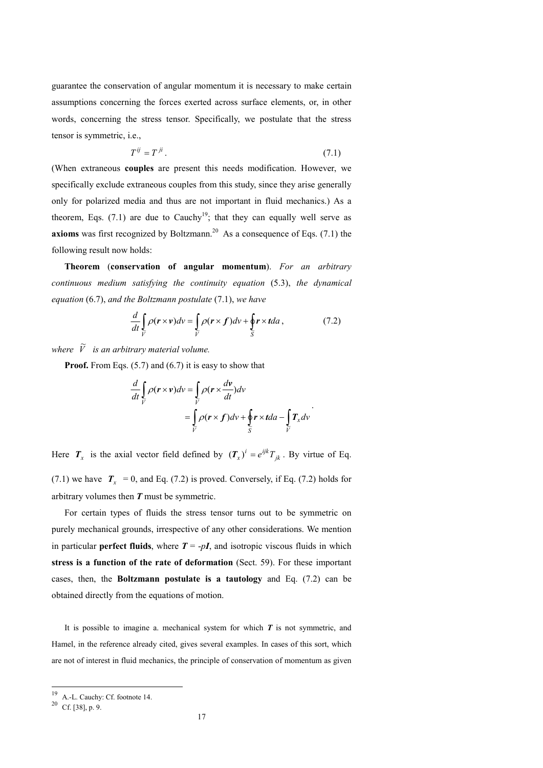guarantee the conservation of angular momentum it is necessary to make certain assumptions concerning the forces exerted across surface elements, or, in other words, concerning the stress tensor. Specifically, we postulate that the stress tensor is symmetric, i.e.,

$$
T^{ij} = T^{ji}.
$$
\n<sup>(7.1)</sup>

(When extraneous **couples** are present this needs modification. However, we specifically exclude extraneous couples from this study, since they arise generally only for polarized media and thus are not important in fluid mechanics.) As a theorem. Eqs. (7.1) are due to Cauchy<sup>19</sup>; that they can equally well serve as **axioms** was first recognized by Boltzmann.<sup>20</sup> As a consequence of Eqs. (7.1) the following result now holds:

**Theorem** (**conservation of angular momentum**). *For an arbitrary continuous medium satisfying the continuity equation* (5.3), *the dynamical equation* (6.7), *and the Boltzmann postulate* (7.1), *we have*

$$
\frac{d}{dt}\int_{\widetilde{V}} \rho(\mathbf{r} \times \mathbf{v})d\mathbf{v} = \int_{\widetilde{V}} \rho(\mathbf{r} \times \mathbf{f})d\mathbf{v} + \oint_{\widetilde{S}} \mathbf{r} \times tda, \qquad (7.2)
$$

where  $\tilde{V}$  is an arbitrary material volume.

**Proof.** From Eqs. (5.7) and (6.7) it is easy to show that

$$
\frac{d}{dt} \int_{\widetilde{V}} \rho(r \times v) dv = \int_{\widetilde{V}} \rho(r \times \frac{dv}{dt}) dv
$$

$$
= \int_{\widetilde{V}} \rho(r \times f) dv + \oint_{\widetilde{S}} r \times t da - \int_{\widetilde{V}} T_x dv
$$

.

Here  $T_x$  is the axial vector field defined by  $(T_x)^i = e^{ijk} T_{jk}$ . By virtue of Eq. (7.1) we have  $T_x = 0$ , and Eq. (7.2) is proved. Conversely, if Eq. (7.2) holds for arbitrary volumes then *T* must be symmetric.

For certain types of fluids the stress tensor turns out to be symmetric on purely mechanical grounds, irrespective of any other considerations. We mention in particular **perfect fluids**, where  $T = -pI$ , and isotropic viscous fluids in which **stress is a function of the rate of deformation** (Sect. 59). For these important cases, then, the **Boltzmann postulate is a tautology** and Eq. (7.2) can be obtained directly from the equations of motion.

It is possible to imagine a. mechanical system for which *T* is not symmetric, and Hamel, in the reference already cited, gives several examples. In cases of this sort, which are not of interest in fluid mechanics, the principle of conservation of momentum as given

<sup>&</sup>lt;sup>19</sup> A.-L. Cauchy: Cf. footnote 14.

 $20$  Cf. [38], p. 9.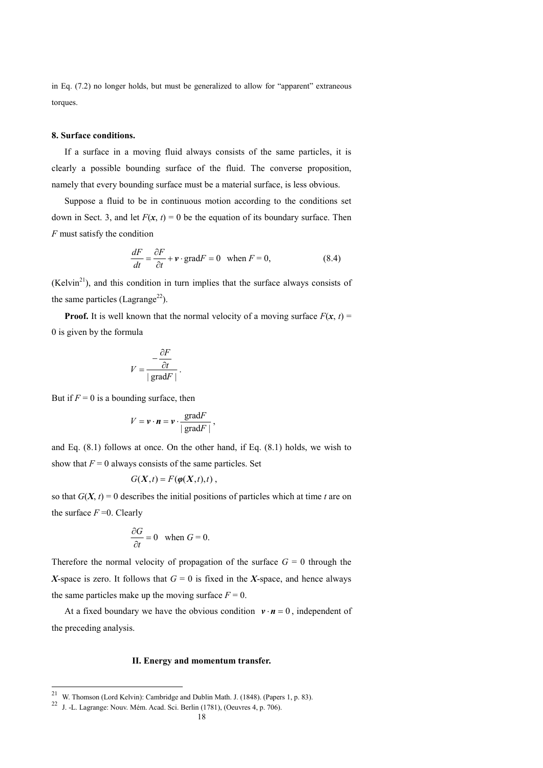in Eq. (7.2) no longer holds, but must be generalized to allow for "apparent" extraneous torques.

## **8. Surface conditions.**

If a surface in a moving fluid always consists of the same particles, it is clearly a possible bounding surface of the fluid. The converse proposition, namely that every bounding surface must be a material surface, is less obvious.

Suppose a fluid to be in continuous motion according to the conditions set down in Sect. 3, and let  $F(x, t) = 0$  be the equation of its boundary surface. Then *F* must satisfy the condition

$$
\frac{dF}{dt} = \frac{\partial F}{\partial t} + \mathbf{v} \cdot \text{grad} F = 0 \quad \text{when } F = 0,
$$
\n(8.4)

 $(Kelvin<sup>21</sup>)$ , and this condition in turn implies that the surface always consists of the same particles (Lagrange<sup>22</sup>).

**Proof.** It is well known that the normal velocity of a moving surface  $F(x, t) =$ 0 is given by the formula

$$
V = \frac{-\frac{\partial F}{\partial t}}{|\text{grad} F|}.
$$

But if  $F = 0$  is a bounding surface, then

$$
V = \mathbf{v} \cdot \mathbf{n} = \mathbf{v} \cdot \frac{\text{grad} F}{|\text{grad} F|},
$$

and Eq. (8.1) follows at once. On the other hand, if Eq. (8.1) holds, we wish to show that  $F = 0$  always consists of the same particles. Set

$$
G(X,t)=F(\varphi(X,t),t)\,,
$$

so that  $G(X, t) = 0$  describes the initial positions of particles which at time *t* are on the surface  $F = 0$ . Clearly

$$
\frac{\partial G}{\partial t} = 0 \quad \text{when } G = 0.
$$

Therefore the normal velocity of propagation of the surface  $G = 0$  through the *X*-space is zero. It follows that  $G = 0$  is fixed in the *X*-space, and hence always the same particles make up the moving surface  $F = 0$ .

At a fixed boundary we have the obvious condition  $v \cdot n = 0$ , independent of the preceding analysis.

#### **II. Energy and momentum transfer.**

<sup>&</sup>lt;sup>21</sup> W. Thomson (Lord Kelvin): Cambridge and Dublin Math. J. (1848). (Papers 1, p. 83).

<sup>22</sup> J. -L. Lagrange: Nouv. Mém. Acad. Sci. Berlin (1781), (Oeuvres 4, p. 706).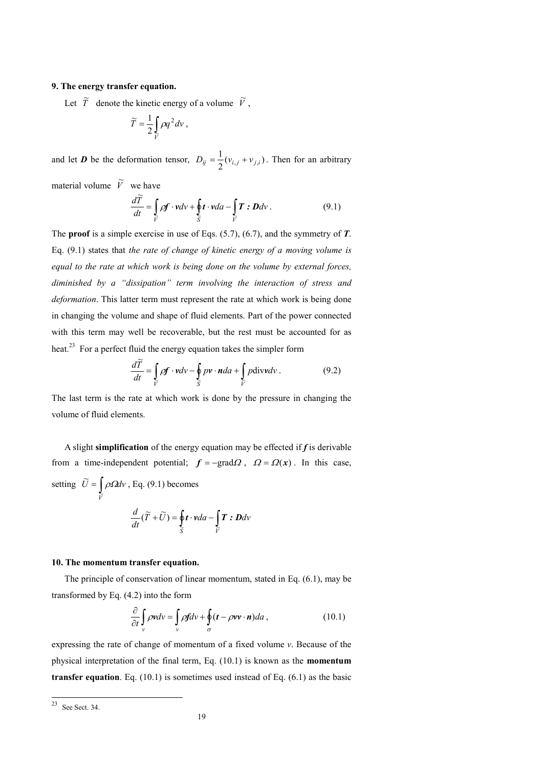## **9. The energy transfer equation.**

Let  $\widetilde{T}$  denote the kinetic energy of a volume  $\widetilde{V}$ ,

$$
\widetilde{T}=\frac{1}{2}\int\limits_{\widetilde{V}}\rho q^2dv\;,
$$

and let *D* be the deformation tensor,  $D_{ij} = \frac{1}{2} (v_{i,j} + v_{j,i})$  $D_{ij} = \frac{1}{2} (v_{i,j} + v_{j,i})$ . Then for an arbitrary

material volume  $\tilde{V}$  we have

$$
\frac{d\widetilde{T}}{dt} = \int\limits_{\widetilde{V}} \rho \mathbf{f} \cdot \mathbf{v} d\mathbf{v} + \oint\limits_{\widetilde{S}} \mathbf{t} \cdot \mathbf{v} da - \int\limits_{\widetilde{V}} \mathbf{T} \cdot \mathbf{D} d\mathbf{v} \,. \tag{9.1}
$$

The **proof** is a simple exercise in use of Eqs. (5.7), (6.7), and the symmetry of *T*. Eq. (9.1) states that *the rate of change of kinetic energy of a moving volume is equal to the rate at which work is being done on the volume by external forces, diminished by a "dissipation" term involving the interaction of stress and deformation*. This latter term must represent the rate at which work is being done in changing the volume and shape of fluid elements. Part of the power connected with this term may well be recoverable, but the rest must be accounted for as heat.<sup>23</sup> For a perfect fluid the energy equation takes the simpler form

$$
\frac{d\widetilde{T}}{dt} = \int\limits_{\widetilde{V}} \rho \mathbf{f} \cdot \mathbf{v} d\mathbf{v} - \oint\limits_{\widetilde{S}} p\mathbf{v} \cdot \mathbf{n} da + \int\limits_{\widetilde{V}} p \text{div} \mathbf{v} d\mathbf{v} \,.
$$
 (9.2)

The last term is the rate at which work is done by the pressure in changing the volume of fluid elements.

A slight **simplification** of the energy equation may be effected if *f* is derivable from a time-independent potential;  $f = -\text{grad}\Omega$ ,  $\Omega = \Omega(x)$ . In this case, setting  $\widetilde{U} = \int$ *V*  $U = \int \rho \Omega dv$  $\frac{1}{17}$  $\widetilde{U} = \int \rho \Omega dv$ , Eq. (9.1) becomes

$$
\frac{d}{dt}(\widetilde{T}+\widetilde{U})=\oint_{\widetilde{S}}\boldsymbol{t}\cdot\boldsymbol{v}da-\int_{\widetilde{V}}\boldsymbol{T}\boldsymbol{:}\boldsymbol{D}d\boldsymbol{v}
$$

#### **10. The momentum transfer equation.**

The principle of conservation of linear momentum, stated in Eq. (6.1), may be transformed by Eq. (4.2) into the form

$$
\frac{\partial}{\partial t} \int_{v} \rho v dv = \int_{v} \rho f dv + \oint_{\sigma} (t - \rho v v \cdot \mathbf{n}) da , \qquad (10.1)
$$

expressing the rate of change of momentum of a fixed volume *v*. Because of the physical interpretation of the final term, Eq. (10.1) is known as the **momentum transfer equation**. Eq. (10.1) is sometimes used instead of Eq. (6.1) as the basic

 $23$  See Sect. 34.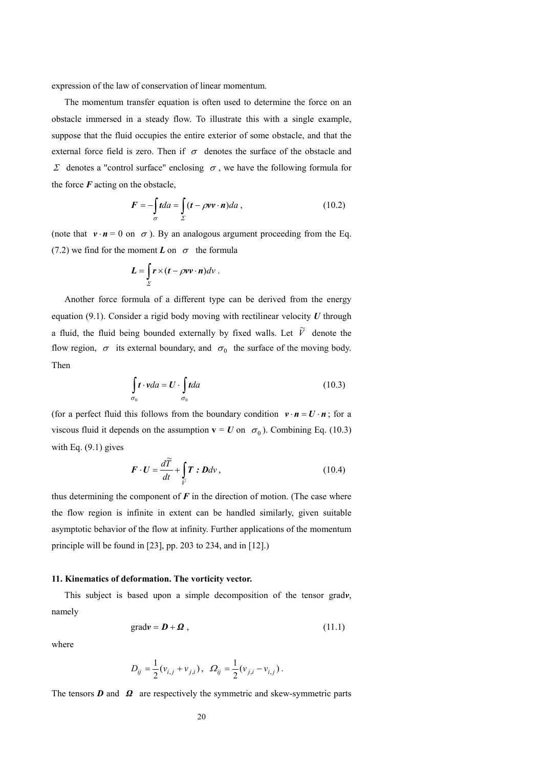expression of the law of conservation of linear momentum.

The momentum transfer equation is often used to determine the force on an obstacle immersed in a steady flow. To illustrate this with a single example, suppose that the fluid occupies the entire exterior of some obstacle, and that the external force field is zero. Then if  $\sigma$  denotes the surface of the obstacle and Σ denotes a "control surface" enclosing  $σ$ , we have the following formula for the force  $\vec{F}$  acting on the obstacle,

$$
F = -\int_{\sigma} t da = \int_{\Sigma} (t - \rho v v \cdot \mathbf{n}) da , \qquad (10.2)
$$

(note that  $\mathbf{v} \cdot \mathbf{n} = 0$  on  $\sigma$ ). By an analogous argument proceeding from the Eq. (7.2) we find for the moment *L* on  $\sigma$  the formula

$$
L=\int_{\Sigma} r \times (t-\rho vv\cdot n)dv.
$$

Another force formula of a different type can be derived from the energy equation (9.1). Consider a rigid body moving with rectilinear velocity *U* through a fluid, the fluid being bounded externally by fixed walls. Let  $\tilde{V}$  denote the flow region,  $\sigma$  its external boundary, and  $\sigma_0$  the surface of the moving body. Then

$$
\int_{\sigma_0} \mathbf{t} \cdot \mathbf{v} da = \mathbf{U} \cdot \int_{\sigma_0} \mathbf{t} da \tag{10.3}
$$

(for a perfect fluid this follows from the boundary condition  $v \cdot n = U \cdot n$ ; for a viscous fluid it depends on the assumption  $\mathbf{v} = \mathbf{U}$  on  $\sigma_0$ ). Combining Eq. (10.3) with Eq.  $(9.1)$  gives

$$
\boldsymbol{F} \cdot \boldsymbol{U} = \frac{d\widetilde{T}}{dt} + \int_{\widetilde{V}} \boldsymbol{T} \cdot \boldsymbol{D} d\mathbf{v},
$$
 (10.4)

thus determining the component of  $F$  in the direction of motion. (The case where the flow region is infinite in extent can be handled similarly, given suitable asymptotic behavior of the flow at infinity. Further applications of the momentum principle will be found in [23], pp. 203 to 234, and in [12].)

#### **11. Kinematics of deformation. The vorticity vector.**

This subject is based upon a simple decomposition of the tensor grad*v*, namely

$$
\text{grad}\mathbf{v} = \mathbf{D} + \mathbf{\Omega} \tag{11.1}
$$

where

$$
D_{ij} = \frac{1}{2} (v_{i,j} + v_{j,i}), \quad Q_{ij} = \frac{1}{2} (v_{j,i} - v_{i,j}).
$$

The tensors *D* and *Ω* are respectively the symmetric and skew-symmetric parts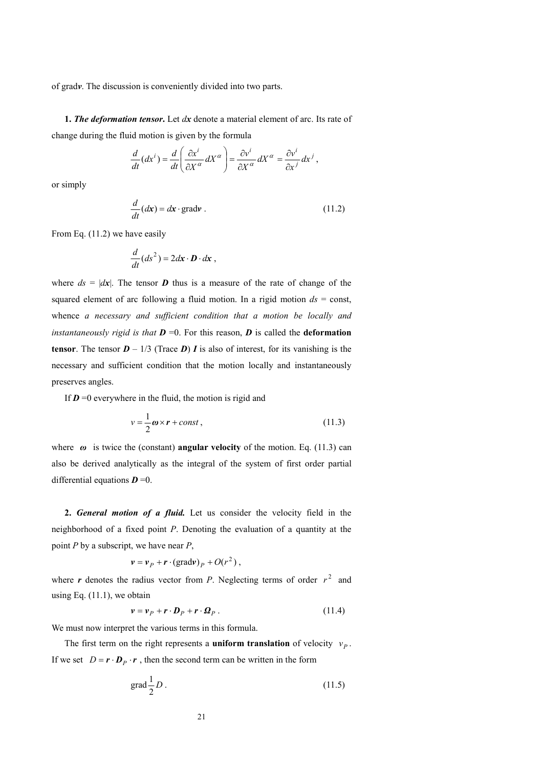of grad*v*. The discussion is conveniently divided into two parts.

**1.** *The deformation tensor***.** Let *dx* denote a material element of arc. Its rate of change during the fluid motion is given by the formula

$$
\frac{d}{dt}(dx^i) = \frac{d}{dt}\left(\frac{\partial x^i}{\partial X^{\alpha}}dX^{\alpha}\right) = \frac{\partial v^i}{\partial X^{\alpha}}dX^{\alpha} = \frac{\partial v^i}{\partial x^j}dx^j,
$$

or simply

$$
\frac{d}{dt}(d\mathbf{x}) = d\mathbf{x} \cdot \text{grad}\mathbf{v} \tag{11.2}
$$

From Eq. (11.2) we have easily

$$
\frac{d}{dt}(ds^2) = 2d\mathbf{x} \cdot \mathbf{D} \cdot d\mathbf{x} ,
$$

where  $ds = |dx|$ . The tensor **D** thus is a measure of the rate of change of the squared element of arc following a fluid motion. In a rigid motion  $ds = const$ , whence *a necessary and sufficient condition that a motion be locally and instantaneously rigid is that*  $D = 0$ . For this reason,  $D$  is called the **deformation tensor**. The tensor  $D - 1/3$  (Trace D) *I* is also of interest, for its vanishing is the necessary and sufficient condition that the motion locally and instantaneously preserves angles.

If  $D = 0$  everywhere in the fluid, the motion is rigid and

$$
v = \frac{1}{2}\omega \times r + const , \qquad (11.3)
$$

where  $\omega$  is twice the (constant) **angular velocity** of the motion. Eq. (11.3) can also be derived analytically as the integral of the system of first order partial differential equations  $\boldsymbol{D} = 0$ .

**2.** *General motion of a fluid.* Let us consider the velocity field in the neighborhood of a fixed point *P*. Denoting the evaluation of a quantity at the point *P* by a subscript, we have near *P*,

$$
\boldsymbol{v} = \boldsymbol{v}_P + \boldsymbol{r} \cdot (\text{grad} \boldsymbol{v})_P + O(r^2) ,
$$

where  $r$  denotes the radius vector from  $P$ . Neglecting terms of order  $r^2$  and using Eq.  $(11.1)$ , we obtain

$$
\mathbf{v} = \mathbf{v}_P + \mathbf{r} \cdot \mathbf{D}_P + \mathbf{r} \cdot \mathbf{\Omega}_P \,. \tag{11.4}
$$

We must now interpret the various terms in this formula.

The first term on the right represents a **uniform translation** of velocity  $v_p$ . If we set  $D = \mathbf{r} \cdot \mathbf{D}_P \cdot \mathbf{r}$ , then the second term can be written in the form

$$
\text{grad} \frac{1}{2} D \,. \tag{11.5}
$$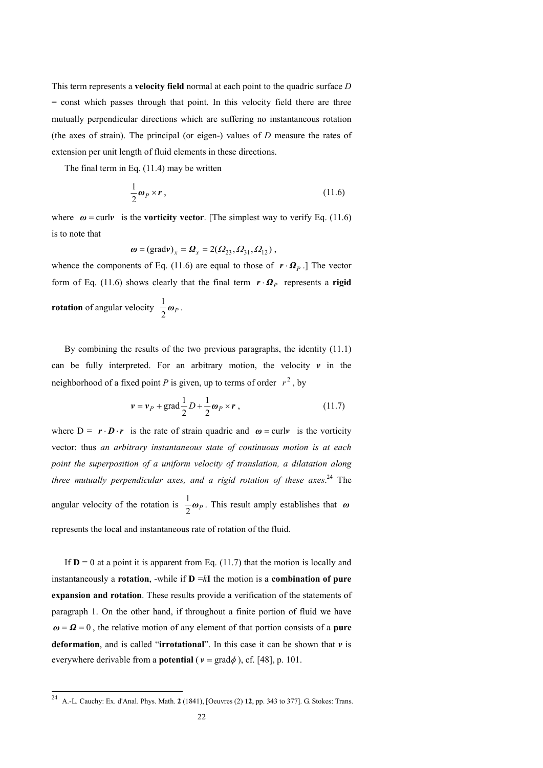This term represents a **velocity field** normal at each point to the quadric surface *D* = const which passes through that point. In this velocity field there are three mutually perpendicular directions which are suffering no instantaneous rotation (the axes of strain). The principal (or eigen-) values of *D* measure the rates of extension per unit length of fluid elements in these directions.

The final term in Eq. (11.4) may be written

$$
\frac{1}{2}\boldsymbol{\omega}_P \times \boldsymbol{r} \,,\tag{11.6}
$$

where  $\omega = \text{curl}v$  is the **vorticity vector**. [The simplest way to verify Eq. (11.6) is to note that

$$
\boldsymbol{\omega} = (\text{grad}\boldsymbol{v})_x = \boldsymbol{\Omega}_x = 2(\Omega_{23}, \Omega_{31}, \Omega_{12}),
$$

whence the components of Eq. (11.6) are equal to those of  $\mathbf{r} \cdot \mathbf{Q}_P$ .] The vector form of Eq. (11.6) shows clearly that the final term  $\mathbf{r} \cdot \mathbf{Q}_p$  represents a **rigid rotation** of angular velocity  $\frac{1}{2}\omega_p$  $\frac{1}{2}\boldsymbol{\omega}_P$ .

By combining the results of the two previous paragraphs, the identity (11.1) can be fully interpreted. For an arbitrary motion, the velocity  $v$  in the neighborhood of a fixed point *P* is given, up to terms of order  $r^2$ , by

$$
\mathbf{v} = \mathbf{v}_P + \text{grad}\,\frac{1}{2}D + \frac{1}{2}\boldsymbol{\omega}_P \times \boldsymbol{r} \,,\tag{11.7}
$$

where  $D = r \cdot D \cdot r$  is the rate of strain quadric and  $\omega = \text{curl}v$  is the vorticity vector: thus *an arbitrary instantaneous state of continuous motion is at each point the superposition of a uniform velocity of translation, a dilatation along three mutually perpendicular axes, and a rigid rotation of these axes*. <sup>24</sup> The angular velocity of the rotation is  $\frac{1}{2}\boldsymbol{\omega}_P$  $\frac{1}{6}\omega_P$ . This result amply establishes that  $\omega$ represents the local and instantaneous rate of rotation of the fluid.

If  $D = 0$  at a point it is apparent from Eq. (11.7) that the motion is locally and instantaneously a **rotation**, -while if **D** =*k***I** the motion is a **combination of pure expansion and rotation**. These results provide a verification of the statements of paragraph 1. On the other hand, if throughout a finite portion of fluid we have  $\omega = \Omega = 0$ , the relative motion of any element of that portion consists of a **pure deformation**, and is called "**irrotational**". In this case it can be shown that *v* is everywhere derivable from a **potential** ( $v = \text{grad}\phi$ ), cf. [48], p. 101.

<sup>24</sup> A.-L. Cauchy: Ex. d'Anal. Phys. Math. **2** (1841), [Oeuvres (2) **12**, pp. 343 to 377]. G. Stokes: Trans.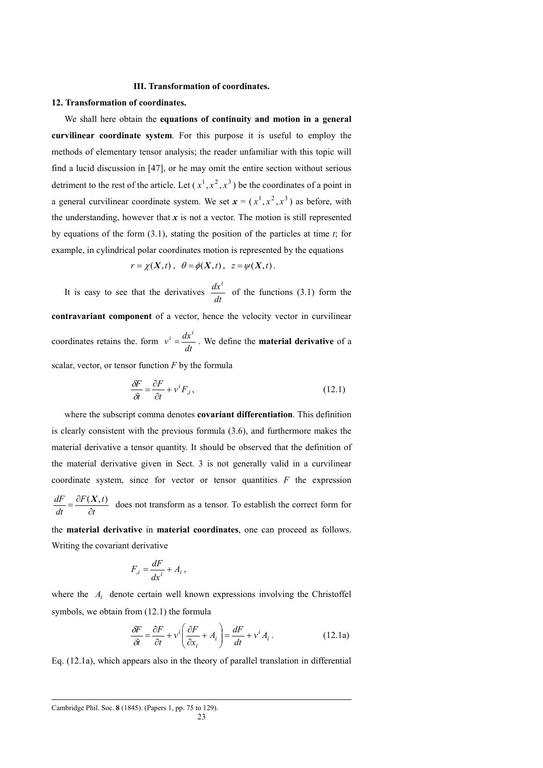## **III. Transformation of coordinates.**

#### **12. Transformation of coordinates.**

We shall here obtain the **equations of continuity and motion in a general curvilinear coordinate system**. For this purpose it is useful to employ the methods of elementary tensor analysis; the reader unfamiliar with this topic will find a lucid discussion in [47], or he may omit the entire section without serious detriment to the rest of the article. Let  $(x^1, x^2, x^3)$  be the coordinates of a point in a general curvilinear coordinate system. We set  $x = (x^1, x^2, x^3)$  as before, with the understanding, however that  $x$  is not a vector. The motion is still represented by equations of the form (3.1), stating the position of the particles at time *t*; for example, in cylindrical polar coordinates motion is represented by the equations

$$
r = \chi(X,t) , \quad \theta = \phi(X,t) , \quad z = \psi(X,t) .
$$

It is easy to see that the derivatives  $\frac{dx}{dt}$  $\frac{dx^{i}}{i}$  of the functions (3.1) form the **contravariant component** of a vector, hence the velocity vector in curvilinear coordinates retains the. form  $v^t = \frac{dx}{dt}$  $v^i = \frac{dx}{t}$  $\frac{dx^{i}}{i} = \frac{dx^{i}}{i}$ . We define the **material derivative** of a scalar, vector, or tensor function *F* by the formula

$$
\frac{\partial F}{\partial t} = \frac{\partial F}{\partial t} + v^i F_{i\,i},\tag{12.1}
$$

where the subscript comma denotes **covariant differentiation**. This definition is clearly consistent with the previous formula (3.6), and furthermore makes the material derivative a tensor quantity. It should be observed that the definition of the material derivative given in Sect. 3 is not generally valid in a curvilinear coordinate system, since for vector or tensor quantities  $F$  the expression *t*  $F(X,t)$ *dt dF* ∂  $=\frac{\partial F(X,t)}{\partial \theta}$  does not transform as a tensor. To establish the correct form for

the **material derivative** in **material coordinates**, one can proceed as follows. Writing the covariant derivative

$$
F_{,i} = \frac{dF}{dx^i} + A_i \,,
$$

where the  $A_i$  denote certain well known expressions involving the Christoffel symbols, we obtain from (12.1) the formula

$$
\frac{\partial F}{\partial t} = \frac{\partial F}{\partial t} + v^i \left( \frac{\partial F}{\partial x_i} + A_i \right) = \frac{dF}{dt} + v^i A_i.
$$
 (12.1a)

Eq. (12.1a), which appears also in the theory of parallel translation in differential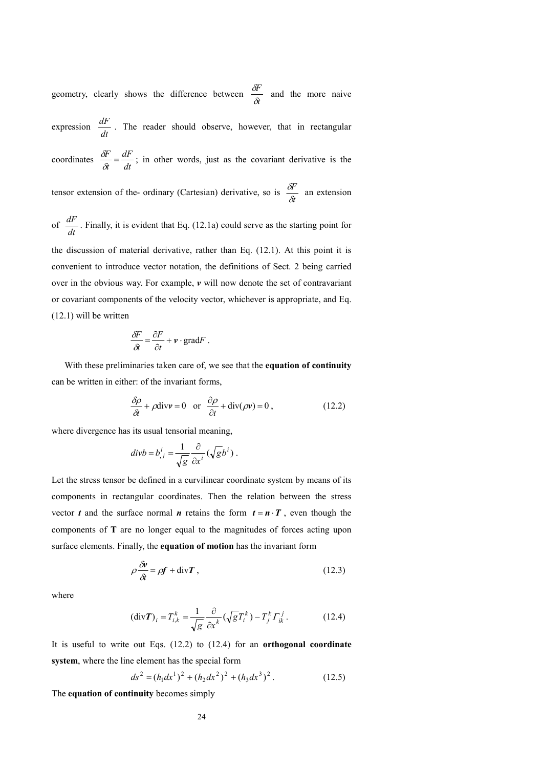geometry, clearly shows the difference between  $\frac{\partial}{\partial t}$ *F* δ  $\frac{\delta F}{\delta}$  and the more naive

expression  $\frac{dF}{dt}$ . The reader should observe, however, that in rectangular coordinates  $\frac{d}{dt} = \frac{d}{dt}$ *dF t*  $\frac{\delta F}{\delta t}=$  $\frac{\delta F}{\delta s} = \frac{dF}{dt}$ ; in other words, just as the covariant derivative is the

tensor extension of the- ordinary (Cartesian) derivative, so is  $\frac{\alpha}{\delta t}$ *F* δ  $\frac{\delta F}{\delta}$  an extension

of  $\frac{dF}{dt}$ . Finally, it is evident that Eq. (12.1a) could serve as the starting point for the discussion of material derivative, rather than Eq. (12.1). At this point it is convenient to introduce vector notation, the definitions of Sect. 2 being carried over in the obvious way. For example, *v* will now denote the set of contravariant or covariant components of the velocity vector, whichever is appropriate, and Eq. (12.1) will be written

$$
\frac{\partial F}{\partial t} = \frac{\partial F}{\partial t} + \mathbf{v} \cdot \text{grad} F.
$$

With these preliminaries taken care of, we see that the **equation of continuity** can be written in either: of the invariant forms,

$$
\frac{\delta \rho}{\delta t} + \rho \text{div} \mathbf{v} = 0 \quad \text{or} \quad \frac{\partial \rho}{\partial t} + \text{div}(\rho \mathbf{v}) = 0 , \qquad (12.2)
$$

where divergence has its usual tensorial meaning,

$$
divb = b_{,j}^{i} = \frac{1}{\sqrt{g}} \frac{\partial}{\partial x^{i}} (\sqrt{g} b^{i}).
$$

Let the stress tensor be defined in a curvilinear coordinate system by means of its components in rectangular coordinates. Then the relation between the stress vector **t** and the surface normal **n** retains the form  $t = n \cdot T$ , even though the components of **T** are no longer equal to the magnitudes of forces acting upon surface elements. Finally, the **equation of motion** has the invariant form

$$
\rho \frac{\partial v}{\partial t} = \rho f + \text{div} \mathbf{T} , \qquad (12.3)
$$

where

$$
(\text{div}\boldsymbol{T})_i = T_{i,k}^k = \frac{1}{\sqrt{g}} \frac{\partial}{\partial x^k} (\sqrt{g} T_i^k) - T_j^k T_{ik}^j.
$$
 (12.4)

It is useful to write out Eqs. (12.2) to (12.4) for an **orthogonal coordinate system**, where the line element has the special form

$$
ds^{2} = (h_{1}dx^{1})^{2} + (h_{2}dx^{2})^{2} + (h_{3}dx^{3})^{2}. \qquad (12.5)
$$

The **equation of continuity** becomes simply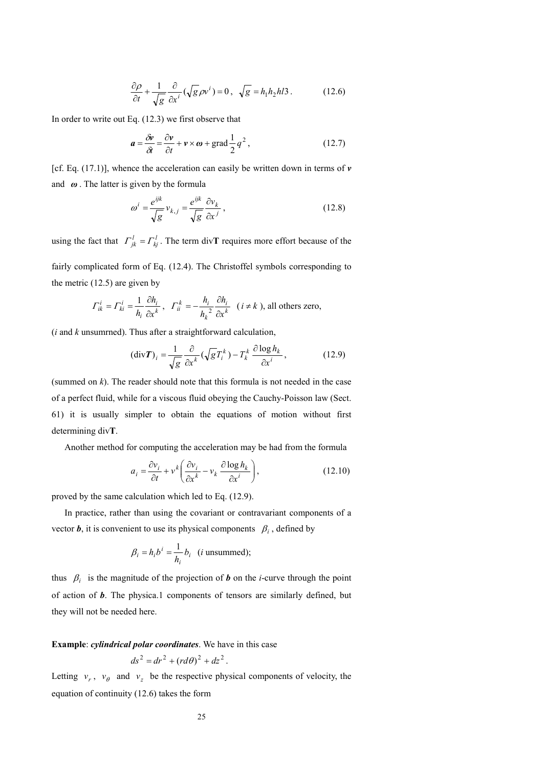$$
\frac{\partial \rho}{\partial t} + \frac{1}{\sqrt{g}} \frac{\partial}{\partial x^i} (\sqrt{g} \rho v^i) = 0, \quad \sqrt{g} = h_1 h_2 h l 3. \tag{12.6}
$$

In order to write out Eq. (12.3) we first observe that

$$
a = \frac{\delta v}{\delta t} = \frac{\partial v}{\partial t} + v \times \omega + \text{grad} \frac{1}{2} q^2, \qquad (12.7)
$$

[cf. Eq.  $(17.1)$ ], whence the acceleration can easily be written down in terms of  $\nu$ and *ω* . The latter is given by the formula

$$
\omega^i = \frac{e^{ijk}}{\sqrt{g}} v_{k,j} = \frac{e^{ijk}}{\sqrt{g}} \frac{\partial v_k}{\partial x^j},
$$
\n(12.8)

using the fact that  $\Gamma_{jk}^l = \Gamma_{kj}^l$ . The term div**T** requires more effort because of the fairly complicated form of Eq. (12.4). The Christoffel symbols corresponding to the metric (12.5) are given by

$$
\Gamma_{ik}^i = \Gamma_{ki}^i = \frac{1}{h_i} \frac{\partial h_i}{\partial x^k}, \quad \Gamma_{ii}^k = -\frac{h_i}{h_k^2} \frac{\partial h_i}{\partial x^k} \quad (i \neq k), \text{ all others zero},
$$

(*i* and *k* unsumrned). Thus after a straightforward calculation,

$$
(\text{div}\boldsymbol{T})_i = \frac{1}{\sqrt{g}} \frac{\partial}{\partial x^k} (\sqrt{g} T_i^k) - T_k^k \frac{\partial \log h_k}{\partial x^i},
$$
(12.9)

(summed on *k*). The reader should note that this formula is not needed in the case of a perfect fluid, while for a viscous fluid obeying the Cauchy-Poisson law (Sect. 61) it is usually simpler to obtain the equations of motion without first determining div**T**.

Another method for computing the acceleration may be had from the formula

$$
a_i = \frac{\partial v_i}{\partial t} + v^k \left( \frac{\partial v_i}{\partial x^k} - v_k \frac{\partial \log h_k}{\partial x^i} \right),\tag{12.10}
$$

proved by the same calculation which led to Eq. (12.9).

In practice, rather than using the covariant or contravariant components of a vector *b*, it is convenient to use its physical components  $\beta_i$ , defined by

$$
\beta_i = h_i b^i = \frac{1}{h_i} b_i \quad (i \text{ unsummed});
$$

thus  $\beta_i$  is the magnitude of the projection of *b* on the *i*-curve through the point of action of *b*. The physica.1 components of tensors are similarly defined, but they will not be needed here.

**Example**: *cylindrical polar coordinates*. We have in this case

$$
ds^2 = dr^2 + (rd\theta)^2 + dz^2.
$$

Letting  $v_r$ ,  $v_\theta$  and  $v_z$  be the respective physical components of velocity, the equation of continuity (12.6) takes the form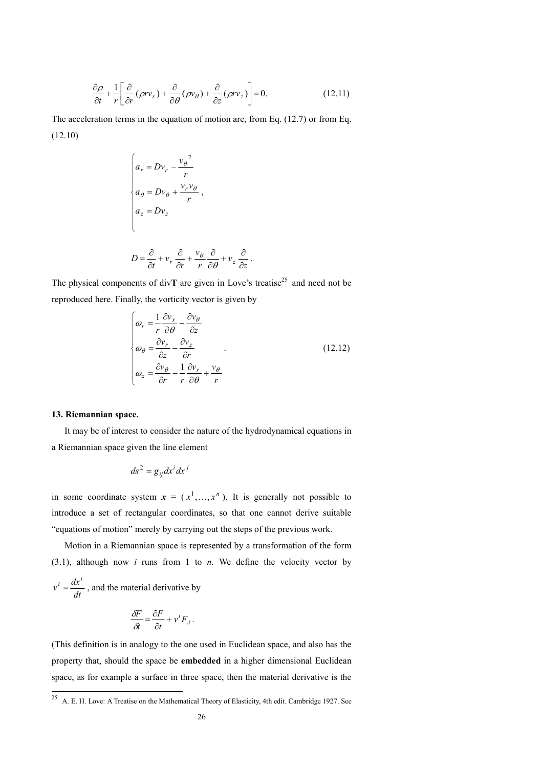$$
\frac{\partial \rho}{\partial t} + \frac{1}{r} \left[ \frac{\partial}{\partial r} (\rho r v_r) + \frac{\partial}{\partial \theta} (\rho v_\theta) + \frac{\partial}{\partial z} (\rho r v_z) \right] = 0.
$$
 (12.11)

The acceleration terms in the equation of motion are, from Eq. (12.7) or from Eq. (12.10)

$$
\begin{cases}\n a_r = Dv_r - \frac{v_\theta^2}{r} \\
 a_\theta = Dv_\theta + \frac{v_r v_\theta}{r}, \\
 a_z = Dv_z\n\end{cases}
$$
\n
$$
D = \frac{\partial}{\partial t} + v_r \frac{\partial}{\partial r} + \frac{v_\theta}{r} \frac{\partial}{\partial \theta} + v_z \frac{\partial}{\partial z}
$$

The physical components of divT are given in Love's treatise<sup>25</sup> and need not be reproduced here. Finally, the vorticity vector is given by

$$
\begin{cases}\n\omega_r = \frac{1}{r} \frac{\partial v_x}{\partial \theta} - \frac{\partial v_\theta}{\partial z} \\
\omega_\theta = \frac{\partial v_r}{\partial z} - \frac{\partial v_z}{\partial r} \\
\omega_z = \frac{\partial v_\theta}{\partial r} - \frac{1}{r} \frac{\partial v_r}{\partial \theta} + \frac{v_\theta}{r}\n\end{cases}
$$
\n(12.12)

.

#### **13. Riemannian space.**

-

It may be of interest to consider the nature of the hydrodynamical equations in a Riemannian space given the line element

$$
ds^2 = g_{ij} dx^i dx^j
$$

in some coordinate system  $x = (x^1, ..., x^n)$ . It is generally not possible to introduce a set of rectangular coordinates, so that one cannot derive suitable "equations of motion" merely by carrying out the steps of the previous work.

Motion in a Riemannian space is represented by a transformation of the form (3.1), although now *i* runs from 1 to *n*. We define the velocity vector by *dt*  $v^i = \frac{dx}{t}$  $\frac{dx^{i}}{dt}$ , and the material derivative by

$$
\frac{\partial F}{\partial t} = \frac{\partial F}{\partial t} + v^i F_{,i} \, .
$$

(This definition is in analogy to the one used in Euclidean space, and also has the property that, should the space be **embedded** in a higher dimensional Euclidean space, as for example a surface in three space, then the material derivative is the

 $25$  A. E. H. Love: A Treatise on the Mathematical Theory of Elasticity, 4th edit. Cambridge 1927. See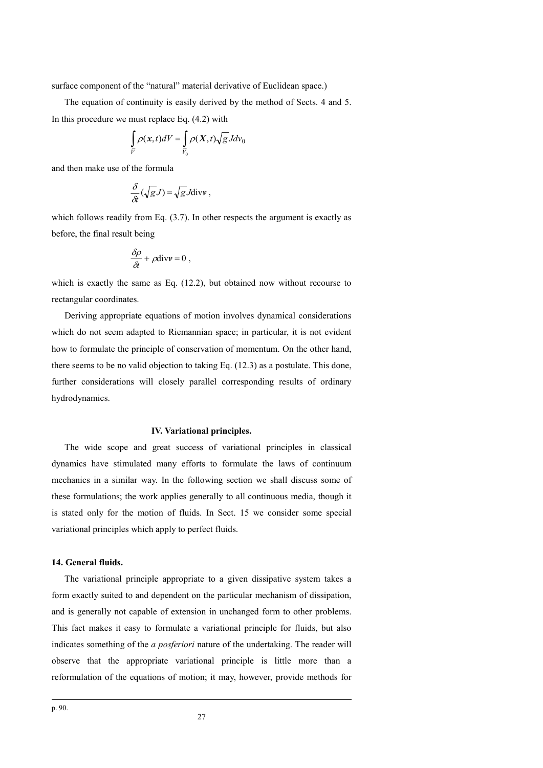surface component of the "natural" material derivative of Euclidean space.)

The equation of continuity is easily derived by the method of Sects. 4 and 5. In this procedure we must replace Eq. (4.2) with

$$
\int\limits_{\widetilde{V}} \rho(x,t)dV = \int\limits_{\widetilde{V}_0} \rho(X,t)\sqrt{g}Jd\nu_0
$$

and then make use of the formula

$$
\frac{\delta}{\delta t}(\sqrt{g}J) = \sqrt{g}J\text{div}\mathbf{v}\,,
$$

which follows readily from Eq.  $(3.7)$ . In other respects the argument is exactly as before, the final result being

$$
\frac{\delta \rho}{\delta t} + \rho \text{div} \mathbf{v} = 0 ,
$$

which is exactly the same as Eq. (12.2), but obtained now without recourse to rectangular coordinates.

Deriving appropriate equations of motion involves dynamical considerations which do not seem adapted to Riemannian space; in particular, it is not evident how to formulate the principle of conservation of momentum. On the other hand, there seems to be no valid objection to taking Eq. (12.3) as a postulate. This done, further considerations will closely parallel corresponding results of ordinary hydrodynamics.

#### **IV. Variational principles.**

The wide scope and great success of variational principles in classical dynamics have stimulated many efforts to formulate the laws of continuum mechanics in a similar way. In the following section we shall discuss some of these formulations; the work applies generally to all continuous media, though it is stated only for the motion of fluids. In Sect. 15 we consider some special variational principles which apply to perfect fluids.

## **14. General fluids.**

The variational principle appropriate to a given dissipative system takes a form exactly suited to and dependent on the particular mechanism of dissipation, and is generally not capable of extension in unchanged form to other problems. This fact makes it easy to formulate a variational principle for fluids, but also indicates something of the *a posferiori* nature of the undertaking. The reader will observe that the appropriate variational principle is little more than a reformulation of the equations of motion; it may, however, provide methods for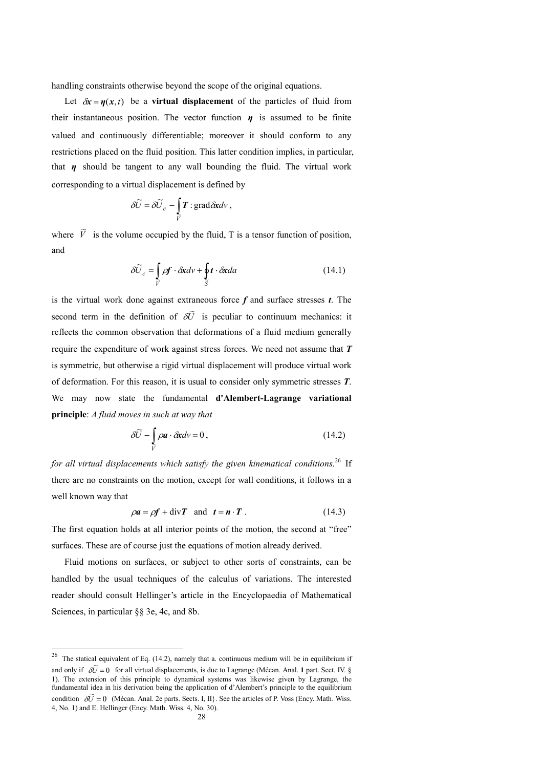handling constraints otherwise beyond the scope of the original equations.

Let  $\delta x = \eta(x, t)$  be a **virtual displacement** of the particles of fluid from their instantaneous position. The vector function  $\eta$  is assumed to be finite valued and continuously differentiable; moreover it should conform to any restrictions placed on the fluid position. This latter condition implies, in particular, that  $\eta$  should be tangent to any wall bounding the fluid. The virtual work corresponding to a virtual displacement is defined by

$$
\delta \widetilde{U} = \delta \widetilde{U}_c - \int\limits_{\widetilde{V}} \boldsymbol{T} : \mathrm{grad} \delta \boldsymbol{x} d\boldsymbol{v} ,
$$

where  $\tilde{V}$  is the volume occupied by the fluid, T is a tensor function of position, and

$$
\delta \widetilde{U}_c = \int\limits_{\widetilde{V}} \rho \mathbf{f} \cdot \delta \mathbf{x} dV + \oint\limits_{\widetilde{S}} \mathbf{t} \cdot \delta \mathbf{x} da \tag{14.1}
$$

is the virtual work done against extraneous force *f* and surface stresses *t*. The second term in the definition of  $\delta \tilde{U}$  is peculiar to continuum mechanics: it reflects the common observation that deformations of a fluid medium generally require the expenditure of work against stress forces. We need not assume that *T*  is symmetric, but otherwise a rigid virtual displacement will produce virtual work of deformation. For this reason, it is usual to consider only symmetric stresses *T*. We may now state the fundamental **d'Alembert-Lagrange variational principle**: *A fluid moves in such at way that*

$$
\delta \widetilde{U} - \int_{\widetilde{V}} \rho \mathbf{a} \cdot \delta \mathbf{x} dV = 0, \qquad (14.2)
$$

*for all virtual displacements which satisfy the given kinematical conditions*. <sup>26</sup> If there are no constraints on the motion, except for wall conditions, it follows in a well known way that

$$
\rho a = \rho f + \text{div} \mathbf{T} \quad \text{and} \quad t = n \cdot \mathbf{T} \tag{14.3}
$$

The first equation holds at all interior points of the motion, the second at "free" surfaces. These are of course just the equations of motion already derived.

Fluid motions on surfaces, or subject to other sorts of constraints, can be handled by the usual techniques of the calculus of variations. The interested reader should consult Hellinger's article in the Encyclopaedia of Mathematical Sciences, in particular §§ 3e, 4c, and 8b.

1

<sup>&</sup>lt;sup>26</sup> The statical equivalent of Eq. (14.2), namely that a. continuous medium will be in equilibrium if and only if  $\delta \tilde{U} = 0$  for all virtual displacements, is due to Lagrange (Mécan. Anal. 1 part. Sect. IV. § 1). The extension of this principle to dynamical systems was likewise given by Lagrange, the fundamental idea in his derivation being the application of d'Alembert's principle to the equilibrium condition  $\delta \tilde{U} = 0$  (Mécan. Anal. 2e parts. Sects. I, II}. See the articles of P. Voss (Ency. Math. Wiss. 4, No. 1) and E. Hellinger (Ency. Math. Wiss. 4, No. 30).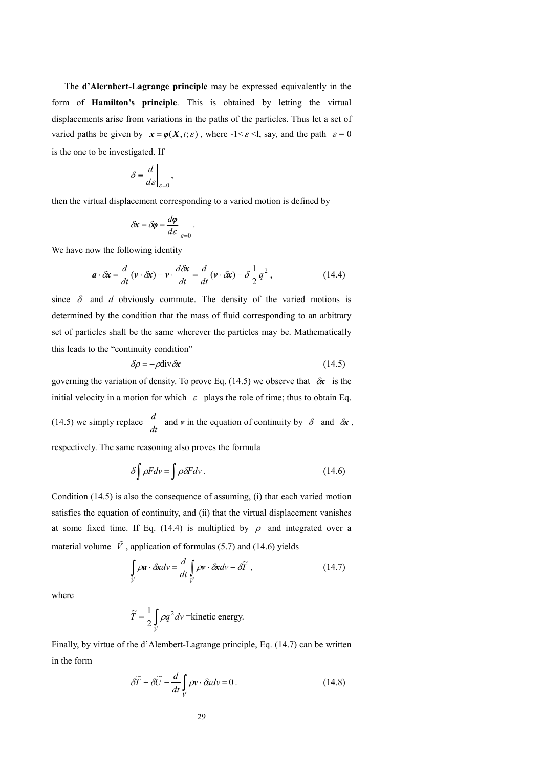The **d'Alernbert-Lagrange principle** may be expressed equivalently in the form of **Hamilton's principle**. This is obtained by letting the virtual displacements arise from variations in the paths of the particles. Thus let a set of varied paths be given by  $x = \varphi(X, t; \varepsilon)$ , where  $-1 < \varepsilon < 1$ , say, and the path  $\varepsilon = 0$ is the one to be investigated. If

$$
\delta \equiv \frac{d}{d\varepsilon}\Big|_{\varepsilon=0},\,
$$

then the virtual displacement corresponding to a varied motion is defined by

$$
\delta x = \delta \varphi = \frac{d\varphi}{d\varepsilon}\bigg|_{\varepsilon=0}.
$$

We have now the following identity

$$
\mathbf{a} \cdot \delta \mathbf{x} = \frac{d}{dt} (\mathbf{v} \cdot \delta \mathbf{x}) - \mathbf{v} \cdot \frac{d \delta \mathbf{x}}{dt} = \frac{d}{dt} (\mathbf{v} \cdot \delta \mathbf{x}) - \delta \frac{1}{2} q^2 ,
$$
 (14.4)

since  $\delta$  and *d* obviously commute. The density of the varied motions is determined by the condition that the mass of fluid corresponding to an arbitrary set of particles shall be the same wherever the particles may be. Mathematically this leads to the "continuity condition"

$$
\delta \rho = -\rho \text{div} \, \delta \mathbf{x} \tag{14.5}
$$

governing the variation of density. To prove Eq. (14.5) we observe that  $\delta x$  is the initial velocity in a motion for which  $\varepsilon$  plays the role of time; thus to obtain Eq. (14.5) we simply replace  $\frac{d}{dt}$  $\frac{d}{dx}$  and *v* in the equation of continuity by  $\delta$  and  $\delta x$ ,

respectively. The same reasoning also proves the formula

$$
\delta \int \rho F dv = \int \rho \delta F dv. \qquad (14.6)
$$

Condition (14.5) is also the consequence of assuming, (i) that each varied motion satisfies the equation of continuity, and (ii) that the virtual displacement vanishes at some fixed time. If Eq. (14.4) is multiplied by  $\rho$  and integrated over a material volume  $\tilde{V}$ , application of formulas (5.7) and (14.6) yields

$$
\int_{\widetilde{V}} \rho \mathbf{a} \cdot \delta \mathbf{x} dv = \frac{d}{dt} \int_{\widetilde{V}} \rho \mathbf{v} \cdot \delta \mathbf{x} dv - \delta \widetilde{T} , \qquad (14.7)
$$

where

$$
\widetilde{T} = \frac{1}{2} \int_{\widetilde{V}} \rho q^2 dv = \text{kinetic energy}.
$$

Finally, by virtue of the d'Alembert-Lagrange principle, Eq. (14.7) can be written in the form

$$
\delta \widetilde{T} + \delta \widetilde{U} - \frac{d}{dt} \int_{\widetilde{V}} \rho v \cdot \delta x dv = 0.
$$
 (14.8)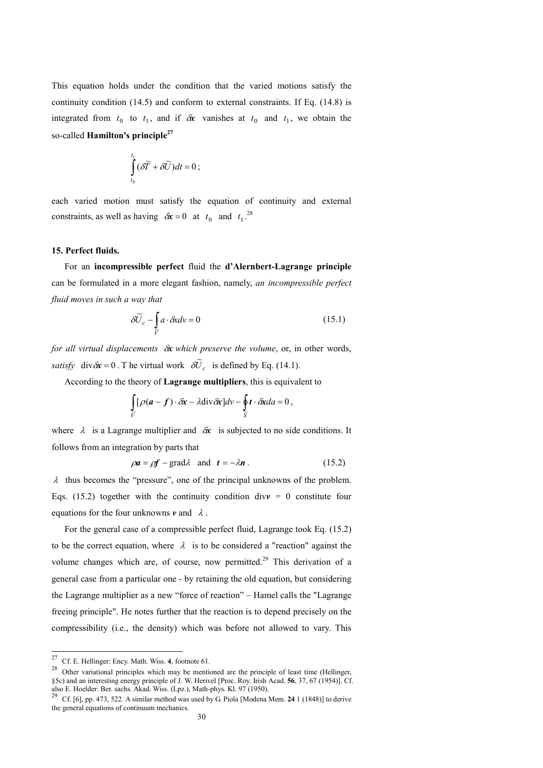This equation holds under the condition that the varied motions satisfy the continuity condition (14.5) and conform to external constraints. If Eq. (14.8) is integrated from  $t_0$  to  $t_1$ , and if  $\delta x$  vanishes at  $t_0$  and  $t_1$ , we obtain the so-called **Hamilton's principle<sup>27</sup>**

$$
\int\limits_{t_0}^{t_1}(\delta\widetilde{T}+\delta\widetilde{U})dt=0\ ;
$$

each varied motion must satisfy the equation of continuity and external constraints, as well as having  $\delta x = 0$  at  $t_0$  and  $t_1$ <sup>28</sup>

#### **15. Perfect fluids.**

For an **incompressible perfect** fluid the **d'Alernbert-Lagrange principle** can be formulated in a more elegant fashion, namely, *an incompressible perfect fluid moves in such a way that*

$$
\delta \widetilde{U}_c - \int_{\widetilde{V}} a \cdot \delta x dv = 0 \tag{15.1}
$$

*for all virtual displacements* δ*x which preserve the volume*, or, in other words, *satisfy* div $\delta x = 0$ . T he virtual work  $\delta \tilde{U}_c$  is defined by Eq. (14.1).

According to the theory of **Lagrange multipliers**, this is equivalent to

$$
\int_{\widetilde{V}} [\rho(\boldsymbol{a}-\boldsymbol{f})\cdot \delta \mathbf{\hat{x}} - \lambda \operatorname{div} \delta \mathbf{\hat{x}}] d\mathbf{\hat{v}} - \oint_{\widetilde{S}} \boldsymbol{t} \cdot \delta \mathbf{\hat{x}} da = 0,
$$

where  $\lambda$  is a Lagrange multiplier and  $\delta x$  is subjected to no side conditions. It follows from an integration by parts that

$$
\rho \mathbf{a} = \rho \mathbf{f} - \text{grad} \lambda \quad \text{and} \quad \mathbf{t} = -\lambda \mathbf{n} \,. \tag{15.2}
$$

 $\lambda$  thus becomes the "pressure", one of the principal unknowns of the problem. Eqs. (15.2) together with the continuity condition div $v = 0$  constitute four equations for the four unknowns  $v$  and  $\lambda$ .

For the general case of a compressible perfect fluid, Lagrange took Eq. (15.2) to be the correct equation, where  $\lambda$  is to be considered a "reaction" against the volume changes which are, of course, now permitted.<sup>29</sup> This derivation of a general case from a particular one - by retaining the old equation, but considering the Lagrange multiplier as a new "force of reaction" – Hamel calls the "Lagrange freeing principle". He notes further that the reaction is to depend precisely on the compressibility (i.e., the density) which was before not allowed to vary. This

<sup>27</sup> Cf. E. Hellinger: Ency. Math. Wiss. **4**, footnote 61.

<sup>&</sup>lt;sup>28</sup> Other variational principles which may be mentioned are the principle of least time (Hellinger, §5c) and an interesting energy principle of J. W. Herivel [Proc. Roy. Irish Acad. **56**, 37, 67 (1954)]. Cf. also E. Hoelder: Ber. sachs. Akad. Wiss. (Lpz.), Math-phys. Kl. 97 (1950).

<sup>29</sup> Cf. [6], pp. 473, 522. A similar method was used by G. Piola [Modena Mem. **24** 1 (1848)] to derive the general equations of continuum mechanics.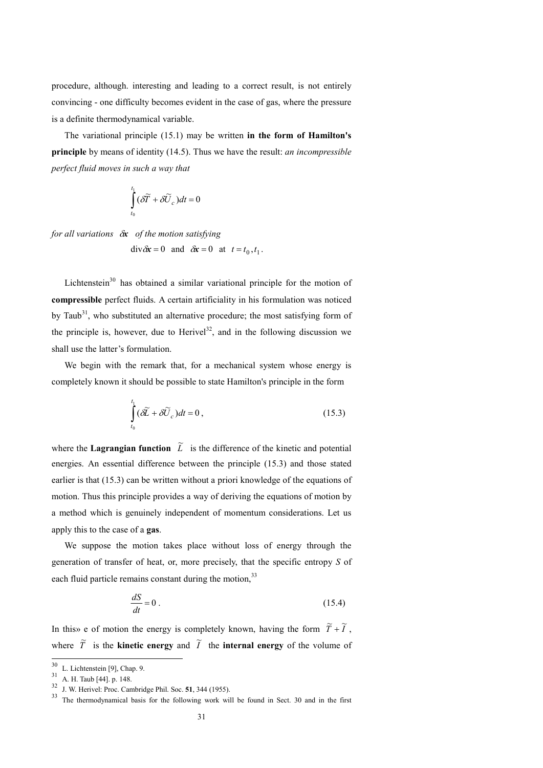procedure, although. interesting and leading to a correct result, is not entirely convincing - one difficulty becomes evident in the case of gas, where the pressure is a definite thermodynamical variable.

The variational principle (15.1) may be written **in the form of Hamilton's principle** by means of identity (14.5). Thus we have the result: *an incompressible perfect fluid moves in such a way that*

$$
\int\limits_{t_0}^{t_1}(\delta\widetilde{T}+\delta\widetilde{U}_c)dt=0
$$

*for all variations* δ*x of the motion satisfying* 

 $div \delta x = 0$  and  $\delta x = 0$  at  $t = t_0, t_1$ .

Lichtenstein $30$  has obtained a similar variational principle for the motion of **compressible** perfect fluids. A certain artificiality in his formulation was noticed by Taub<sup>31</sup>, who substituted an alternative procedure; the most satisfying form of the principle is, however, due to Herivel<sup>32</sup>, and in the following discussion we shall use the latter's formulation.

We begin with the remark that, for a mechanical system whose energy is completely known it should be possible to state Hamilton's principle in the form

$$
\int_{t_0}^{t_1} (\partial \widetilde{L} + \partial \widetilde{U}_c) dt = 0 ,
$$
\n(15.3)

where the **Lagrangian function**  $\widetilde{L}$  is the difference of the kinetic and potential energies. An essential difference between the principle (15.3) and those stated earlier is that (15.3) can be written without a priori knowledge of the equations of motion. Thus this principle provides a way of deriving the equations of motion by a method which is genuinely independent of momentum considerations. Let us apply this to the case of a **gas**.

We suppose the motion takes place without loss of energy through the generation of transfer of heat, or, more precisely, that the specific entropy *S* of each fluid particle remains constant during the motion,<sup>33</sup>

$$
\frac{dS}{dt} = 0\tag{15.4}
$$

In thisw e of motion the energy is completely known, having the form  $\tilde{T} + \tilde{l}$ , where  $\tilde{T}$  is the **kinetic energy** and  $\tilde{T}$  the **internal energy** of the volume of

 $30$  L. Lichtenstein [9], Chap. 9.

<sup>31</sup> A. H. Taub [44]. p. 148.

<sup>32</sup> J. W. Herivel: Proc. Cambridge Phil. Soc. **51**, 344 (1955).

<sup>&</sup>lt;sup>33</sup> The thermodynamical basis for the following work will be found in Sect. 30 and in the first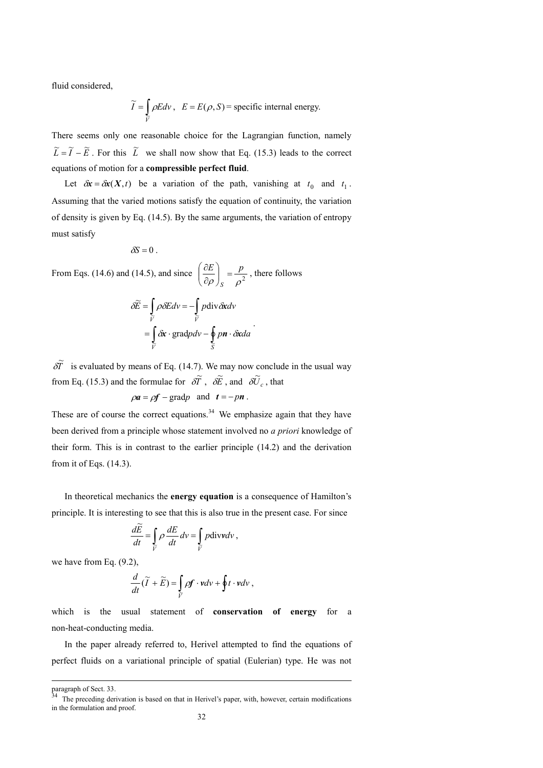fluid considered,

$$
\widetilde{I} = \int_{\widetilde{V}} \rho E d\nu, \quad E = E(\rho, S) = \text{specific internal energy}.
$$

There seems only one reasonable choice for the Lagrangian function, namely  $\widetilde{L} = \widetilde{I} - \widetilde{E}$ . For this  $\widetilde{L}$  we shall now show that Eq. (15.3) leads to the correct equations of motion for a **compressible perfect fluid**.

Let  $\delta x = \delta x(X,t)$  be a variation of the path, vanishing at  $t_0$  and  $t_1$ . Assuming that the varied motions satisfy the equation of continuity, the variation of density is given by Eq. (14.5). By the same arguments, the variation of entropy must satisfy

$$
\delta S=0.
$$

From Eqs. (14.6) and (14.5), and since  $\left(\frac{\partial E}{\partial \rho}\right)_S = \frac{p}{\rho^2}$  $\int_S$ J  $\setminus$  $\overline{\phantom{a}}$  $\overline{\mathcal{L}}$ ſ ∂  $\left(\frac{\partial E}{\partial \rho}\right) = \frac{p}{\rho}$ , there follows

$$
\delta \widetilde{E} = \int_{\widetilde{V}} \rho \delta E dv = -\int_{\widetilde{V}} p \operatorname{div} \delta x dv
$$

$$
= \int_{\widetilde{V}} \delta x \cdot \operatorname{grad} p dv - \oint_{\widetilde{S}} p \mathbf{n} \cdot \delta x da
$$

.

 $\delta \tilde{T}$  is evaluated by means of Eq. (14.7). We may now conclude in the usual way from Eq. (15.3) and the formulae for  $\delta \tilde{T}$ ,  $\delta \tilde{E}$ , and  $\delta \tilde{U}_c$ , that

 $\rho a = \rho f - \text{grad} p$  and  $t = -p n$ .

These are of course the correct equations.<sup>34</sup> We emphasize again that they have been derived from a principle whose statement involved no *a priori* knowledge of their form. This is in contrast to the earlier principle (14.2) and the derivation from it of Eqs. (14.3).

In theoretical mechanics the **energy equation** is a consequence of Hamilton's principle. It is interesting to see that this is also true in the present case. For since

$$
\frac{d\widetilde{E}}{dt} = \int_{\widetilde{V}} \rho \frac{dE}{dt} dv = \int_{\widetilde{V}} p \text{div} \nu dv,
$$

we have from Eq. (9.2),

$$
\frac{d}{dt}(\widetilde{I}+\widetilde{E})=\int\limits_{\widetilde{V}}\rho f\cdot v dv+\oint t\cdot v dv,
$$

which is the usual statement of **conservation of energy** for a non-heat-conducting media.

In the paper already referred to, Herivel attempted to find the equations of perfect fluids on a variational principle of spatial (Eulerian) type. He was not

paragraph of Sect. 33.<br><sup>34</sup> The preceding derivation is based on that in Herivel's paper, with, however, certain modifications in the formulation and proof.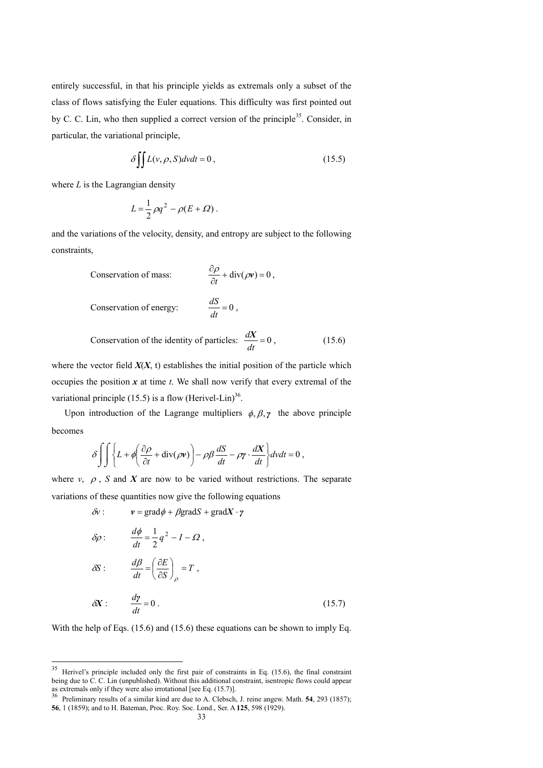entirely successful, in that his principle yields as extremals only a subset of the class of flows satisfying the Euler equations. This difficulty was first pointed out by C. C. Lin, who then supplied a correct version of the principle<sup>35</sup>. Consider, in particular, the variational principle,

$$
\delta \iint L(\nu, \rho, S) d\nu dt = 0, \qquad (15.5)
$$

where *L* is the Lagrangian density

$$
L=\frac{1}{2}\rho q^2-\rho(E+\Omega).
$$

and the variations of the velocity, density, and entropy are subject to the following constraints,

Conservation of mass: 
$$
\frac{\partial \rho}{\partial t} + \text{div}(\rho \mathbf{v}) = 0
$$

$$
\frac{\partial \rho}{\partial t} + \text{div}(\rho \mathbf{v}) = 0,
$$
  

$$
\frac{dS}{dt} = 0,
$$

 $\frac{\partial \rho}{\partial y} + \text{div}(\rho \nu)$ 

Conservation of energy:

Conservation of the identity of particles: 
$$
\frac{dX}{dt} = 0,
$$
 (15.6)

where the vector field  $X(X, t)$  establishes the initial position of the particle which occupies the position  $x$  at time  $t$ . We shall now verify that every extremal of the variational principle  $(15.5)$  is a flow (Herivel-Lin)<sup>36</sup>.

Upon introduction of the Lagrange multipliers  $\phi$ ,  $\beta$ , *γ* the above principle becomes

$$
\delta \iiint \left\{ L + \phi \left( \frac{\partial \rho}{\partial t} + \text{div}(\rho \mathbf{v}) \right) - \rho \beta \frac{dS}{dt} - \rho \mathbf{v} \cdot \frac{d\mathbf{X}}{dt} \right\} dv dt = 0,
$$

where  $v$ ,  $\rho$ , *S* and *X* are now to be varied without restrictions. The separate variations of these quantities now give the following equations

 $δv$  :  $v = \text{grad}φ + β\text{grad}S + \text{grad}X \cdot γ$ 

-

$$
\delta \rho: \frac{d\phi}{dt} = \frac{1}{2}q^2 - I - \Omega,
$$
  
\n
$$
\delta S: \frac{d\beta}{dt} = \left(\frac{\partial E}{\partial S}\right)_{\rho} = T,
$$
  
\n
$$
\delta X: \frac{d\gamma}{dt} = 0.
$$
\n(15.7)

With the help of Eqs. (15.6) and (15.6) these equations can be shown to imply Eq.

 $35$  Herivel's principle included only the first pair of constraints in Eq. (15.6), the final constraint being due to C. C. Lin (unpublished). Without this additional constraint, isentropic flows could appear

as extremals only if they were also irrotational [see Eq. (15.7)]. <sup>36</sup> Preliminary results of a similar kind are due to A. Clebsch, J. reine angew. Math. **54**, 293 (1857); **56**, 1 (1859); and to H. Bateman, Proc. Roy. Soc. Lond., Ser. A **125**, 598 (1929).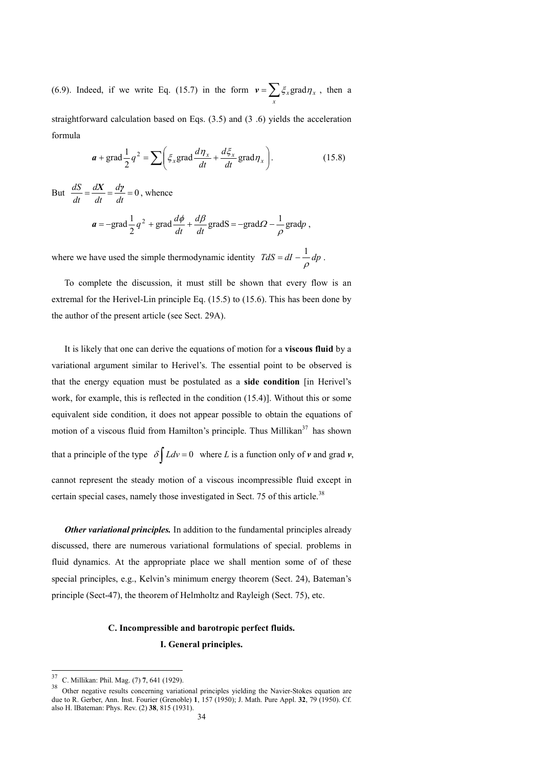(6.9). Indeed, if we write Eq. (15.7) in the form  $v = \sum_{x}$  $v = \sum \xi_x \text{grad} \eta_x$ , then a

straightforward calculation based on Eqs. (3.5) and (3 .6) yields the acceleration formula

$$
\boldsymbol{a} + \operatorname{grad} \frac{1}{2} q^2 = \sum \left( \xi_x \operatorname{grad} \frac{d\eta_x}{dt} + \frac{d\xi_x}{dt} \operatorname{grad} \eta_x \right). \tag{15.8}
$$

But  $\frac{dS}{dt} = \frac{dA}{dt} = \frac{d\gamma}{dt} = 0$ *d dt d dt*  $\frac{dS}{dt} = \frac{dX}{dt} = \frac{d\gamma}{dt} = 0$ , whence

$$
a = -\text{grad}\,\frac{1}{2}q^2 + \text{grad}\,\frac{d\phi}{dt} + \frac{d\beta}{dt}\,\text{gradS} = -\text{grad}\,\Omega - \frac{1}{\rho}\,\text{grad}p\;,
$$

where we have used the simple thermodynamic identity  $TdS = dI - \frac{1}{\rho}dp$  $= dI - \frac{1}{dp}$ .

To complete the discussion, it must still be shown that every flow is an extremal for the Herivel-Lin principle Eq. (15.5) to (15.6). This has been done by the author of the present article (see Sect. 29A).

It is likely that one can derive the equations of motion for a **viscous fluid** by a variational argument similar to Herivel's. The essential point to be observed is that the energy equation must be postulated as a **side condition** [in Herivel's work, for example, this is reflected in the condition (15.4)]. Without this or some equivalent side condition, it does not appear possible to obtain the equations of motion of a viscous fluid from Hamilton's principle. Thus Millikan<sup>37</sup> has shown that a principle of the type  $\delta \int L dv = 0$  where *L* is a function only of *v* and grad *v*, cannot represent the steady motion of a viscous incompressible fluid except in

certain special cases, namely those investigated in Sect. 75 of this article.<sup>38</sup>

*Other variational principles.* In addition to the fundamental principles already discussed, there are numerous variational formulations of special. problems in fluid dynamics. At the appropriate place we shall mention some of of these special principles, e.g., Kelvin's minimum energy theorem (Sect. 24), Bateman's principle (Sect-47), the theorem of Helmholtz and Rayleigh (Sect. 75), etc.

# **C. Incompressible and barotropic perfect fluids. I. General principles.**

<sup>37</sup> C. Millikan: Phil. Mag. (7) **7**, 641 (1929).

<sup>&</sup>lt;sup>38</sup> Other negative results concerning variational principles yielding the Navier-Stokes equation are due to R. Gerber, Ann. Inst. Fourier (Grenoble) **1**, 157 (1950); J. Math. Pure Appl. **32**, 79 (1950). Cf. also H. lBateman: Phys. Rev. (2) **38**, 815 (1931).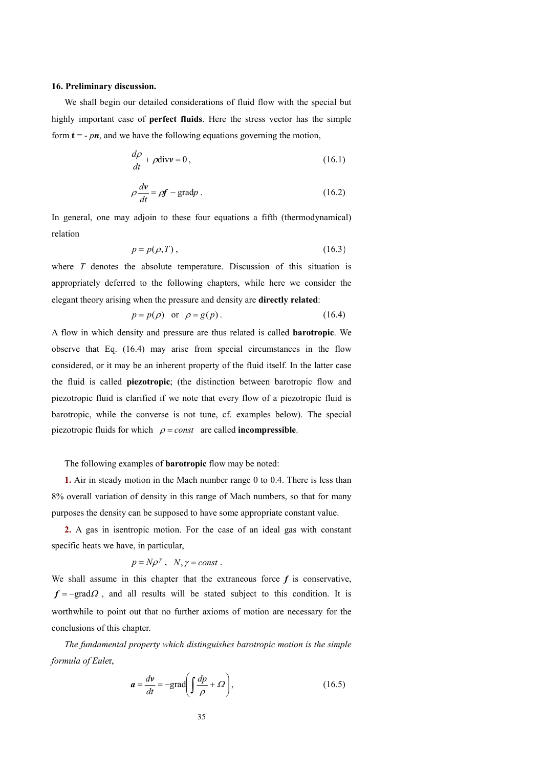#### **16. Preliminary discussion.**

We shall begin our detailed considerations of fluid flow with the special but highly important case of **perfect fluids**. Here the stress vector has the simple form  $t = -p\boldsymbol{n}$ , and we have the following equations governing the motion,

$$
\frac{d\rho}{dt} + \rho \text{div}\mathbf{v} = 0, \qquad (16.1)
$$

$$
\rho \frac{dv}{dt} = \rho f - \text{grad} p \ . \tag{16.2}
$$

In general, one may adjoin to these four equations a fifth (thermodynamical) relation

$$
p = p(\rho, T), \qquad (16.3)
$$

where *T* denotes the absolute temperature. Discussion of this situation is appropriately deferred to the following chapters, while here we consider the elegant theory arising when the pressure and density are **directly related**:

$$
p = p(\rho) \quad \text{or} \quad \rho = g(p). \tag{16.4}
$$

A flow in which density and pressure are thus related is called **barotropic**. We observe that Eq. (16.4) may arise from special circumstances in the flow considered, or it may be an inherent property of the fluid itself. In the latter case the fluid is called **piezotropic**; (the distinction between barotropic flow and piezotropic fluid is clarified if we note that every flow of a piezotropic fluid is barotropic, while the converse is not tune, cf. examples below). The special piezotropic fluids for which  $\rho = const$  are called **incompressible**.

## The following examples of **barotropic** flow may be noted:

**1.** Air in steady motion in the Mach number range 0 to 0.4. There is less than 8% overall variation of density in this range of Mach numbers, so that for many purposes the density can be supposed to have some appropriate constant value.

**2.** A gas in isentropic motion. For the case of an ideal gas with constant specific heats we have, in particular,

$$
p = N \rho^{\gamma} , N, \gamma = const .
$$

We shall assume in this chapter that the extraneous force  $f$  is conservative,  $f = -\text{grad}\Omega$ , and all results will be stated subject to this condition. It is worthwhile to point out that no further axioms of motion are necessary for the conclusions of this chapter.

*The fundamental property which distinguishes barotropic motion is the simple formula of Eule*r,

$$
a = \frac{dv}{dt} = -\text{grad}\left(\int \frac{dp}{\rho} + \Omega\right),\tag{16.5}
$$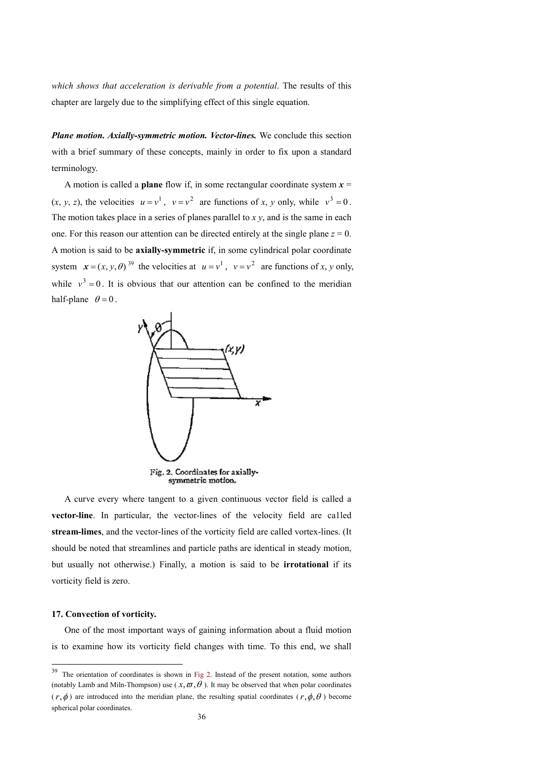*which shows that acceleration is derivable from a potential*. The results of this chapter are largely due to the simplifying effect of this single equation.

*Plane motion. Axially-symmetric motion. Vector-lines.* We conclude this section with a brief summary of these concepts, mainly in order to fix upon a standard terminology.

A motion is called a **plane** flow if, in some rectangular coordinate system  $x =$  $(x, y, z)$ , the velocities  $u = v^1$ ,  $v = v^2$  are functions of *x*, *y* only, while  $v^3 = 0$ . The motion takes place in a series of planes parallel to  $x y$ , and is the same in each one. For this reason our attention can be directed entirely at the single plane  $z = 0$ . A motion is said to be **axially-symmetric** if, in some cylindrical polar coordinate system  $x = (x, y, \theta)^{39}$  the velocities at  $u = v^1$ ,  $v = v^2$  are functions of *x*, *y* only, while  $v^3 = 0$ . It is obvious that our attention can be confined to the meridian half-plane  $\theta = 0$ .



A curve every where tangent to a given continuous vector field is called a **vector-line**. In particular, the vector-lines of the velocity field are ca1led **stream-limes**, and the vector-lines of the vorticity field are called vortex-lines. (It should be noted that streamlines and particle paths are identical in steady motion, but usually not otherwise.) Finally, a motion is said to be **irrotational** if its vorticity field is zero.

#### **17. Convection of vorticity.**

-

One of the most important ways of gaining information about a fluid motion is to examine how its vorticity field changes with time. To this end, we shall

 $39$  The orientation of coordinates is shown in Fig 2. Instead of the present notation, some authors (notably Lamb and Miln-Thompson) use  $(x, \varpi, \theta)$ . It may be observed that when polar coordinates  $(r, \phi)$  are introduced into the meridian plane, the resulting spatial coordinates  $(r, \phi, \theta)$  become spherical polar coordinates.